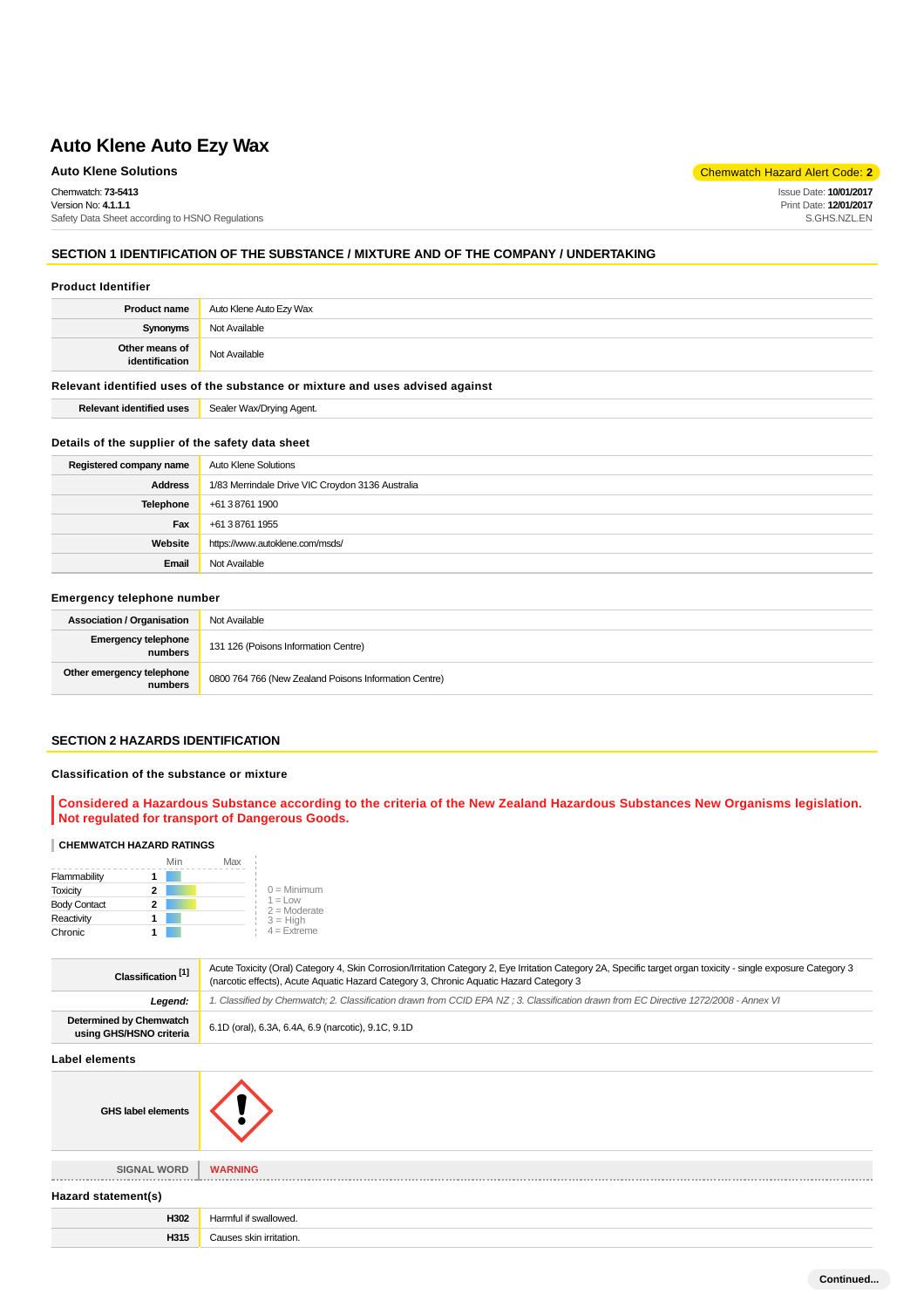Safety Data Sheet according to HSNO Regulations

Chemwatch: **73-5413**

Version No: **4.1.1.1**

**Auto Klene Solutions** Chemwatch Hazard Alert Code: **2** 

Issue Date: **10/01/2017** Print Date: **12/01/2017** S.GHS.NZL.EN

### **SECTION 1 IDENTIFICATION OF THE SUBSTANCE / MIXTURE AND OF THE COMPANY / UNDERTAKING**

#### **Product Identifier**

| <b>Product name</b>              | Auto Klene Auto Ezy Wax |
|----------------------------------|-------------------------|
| Synonyms                         | Not Available           |
| Other means of<br>identification | Not Available           |

#### **Relevant identified uses of the substance or mixture and uses advised against**

**Relevant identified uses** Sealer Wax/Drying Agent.

#### **Details of the supplier of the safety data sheet**

| Registered company name | Auto Klene Solutions                             |
|-------------------------|--------------------------------------------------|
| <b>Address</b>          | 1/83 Merrindale Drive VIC Croydon 3136 Australia |
| Telephone               | +61 3 8761 1900                                  |
| Fax                     | +61 3 8761 1955                                  |
| Website                 | https://www.autoklene.com/msds/                  |
| Email                   | Not Available                                    |

### **Emergency telephone number**

| <b>Association / Organisation</b>    | Not Available                                         |
|--------------------------------------|-------------------------------------------------------|
| Emergency telephone<br>numbers       | 131 126 (Poisons Information Centre)                  |
| Other emergency telephone<br>numbers | 0800 764 766 (New Zealand Poisons Information Centre) |

### **SECTION 2 HAZARDS IDENTIFICATION**

#### **Classification of the substance or mixture**

**Considered a Hazardous Substance according to the criteria of the New Zealand Hazardous Substances New Organisms legislation. Not regulated for transport of Dangerous Goods.**

#### **CHEMWATCH HAZARD RATINGS**

|                     | Min | Max |                              |
|---------------------|-----|-----|------------------------------|
| Flammability        |     |     |                              |
| <b>Toxicity</b>     | 2   |     | $0 =$ Minimum                |
| <b>Body Contact</b> | 2   |     | $1 = 1$ ow<br>$2 =$ Moderate |
| Reactivity          |     |     | $3 = High$                   |
| Chronic             |     |     | $4 =$ Extreme                |

| Classification <sup>[1]</sup>                      | Acute Toxicity (Oral) Category 4, Skin Corrosion/Irritation Category 2, Eye Irritation Category 2A, Specific target organ toxicity - single exposure Category 3<br>(narcotic effects), Acute Aquatic Hazard Category 3, Chronic Aquatic Hazard Category 3 |  |
|----------------------------------------------------|-----------------------------------------------------------------------------------------------------------------------------------------------------------------------------------------------------------------------------------------------------------|--|
| Legend:                                            | 1. Classified by Chemwatch; 2. Classification drawn from CCID EPA NZ; 3. Classification drawn from EC Directive 1272/2008 - Annex VI                                                                                                                      |  |
| Determined by Chemwatch<br>using GHS/HSNO criteria | 6.1D (oral), 6.3A, 6.4A, 6.9 (narcotic), 9.1C, 9.1D                                                                                                                                                                                                       |  |
| Label elements                                     |                                                                                                                                                                                                                                                           |  |

# **GHS label elements**



### **SIGNAL WORD WARNING Hazard statement(s)**

| Hazard statement(s) |  |  |  |
|---------------------|--|--|--|
|---------------------|--|--|--|

| H302          | <u>'Jormtu</u><br>$\overline{\phantom{a}}$<br>. 111 |
|---------------|-----------------------------------------------------|
| 1245<br>75 I. | "<br>n olzin<br>itation.                            |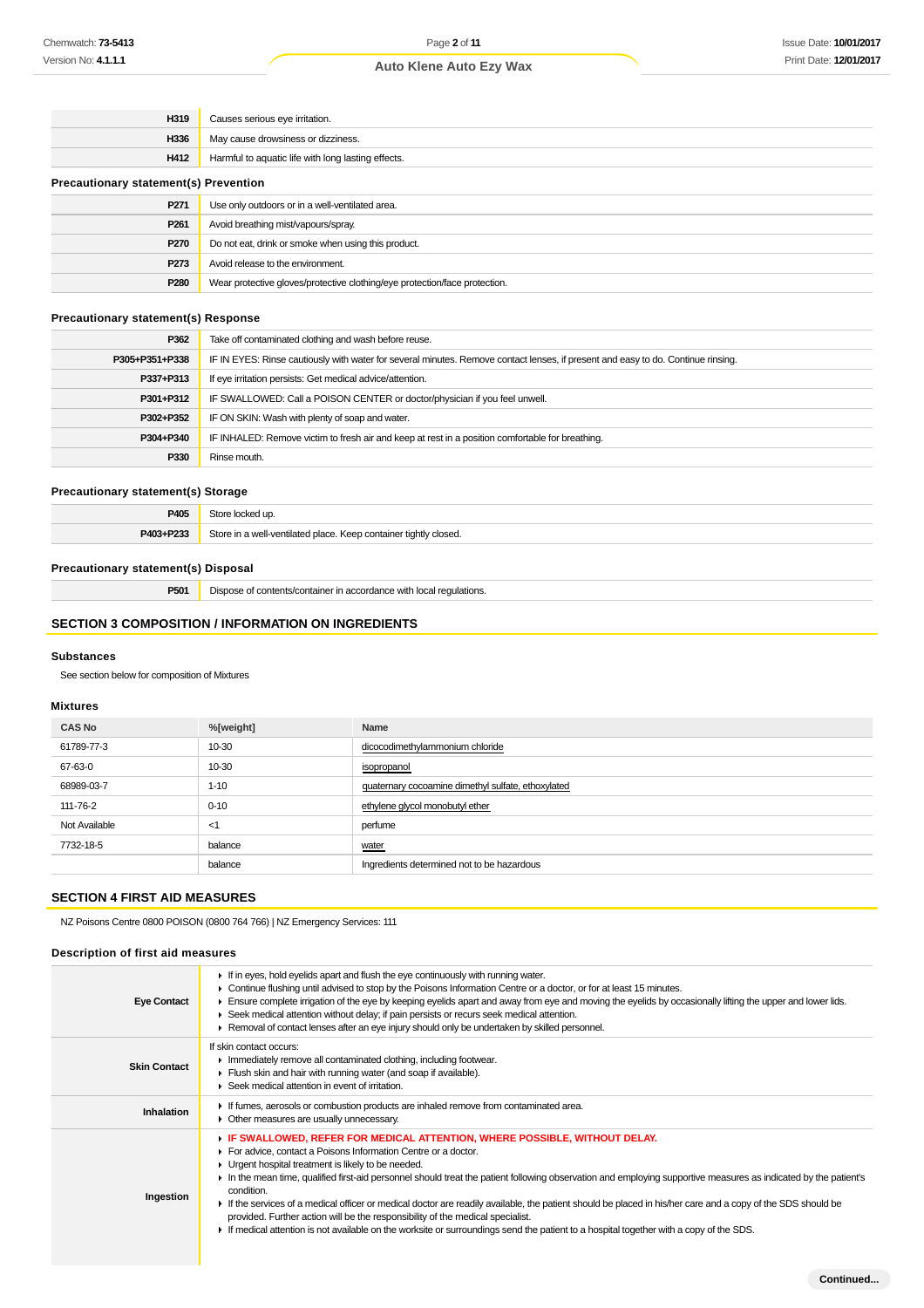| H319                                         | Causes serious eye irritation.                                             |  |
|----------------------------------------------|----------------------------------------------------------------------------|--|
| H336                                         | May cause drowsiness or dizziness.                                         |  |
| H412                                         | Harmful to aquatic life with long lasting effects.                         |  |
| <b>Precautionary statement(s) Prevention</b> |                                                                            |  |
| P271                                         | Use only outdoors or in a well-ventilated area.                            |  |
| P <sub>261</sub>                             | Avoid breathing mist/vapours/spray.                                        |  |
| <b>P270</b>                                  | Do not eat, drink or smoke when using this product.                        |  |
| P273                                         | Avoid release to the environment.                                          |  |
| P280                                         | Wear protective gloves/protective clothing/eye protection/face protection. |  |

### **Precautionary statement(s) Response**

| P362           | Take off contaminated clothing and wash before reuse.                                                                            |
|----------------|----------------------------------------------------------------------------------------------------------------------------------|
| P305+P351+P338 | IF IN EYES: Rinse cautiously with water for several minutes. Remove contact lenses, if present and easy to do. Continue rinsing. |
| P337+P313      | If eye irritation persists: Get medical advice/attention.                                                                        |
| P301+P312      | IF SWALLOWED: Call a POISON CENTER or doctor/physician if you feel unwell.                                                       |
| P302+P352      | IF ON SKIN: Wash with plenty of soap and water.                                                                                  |
| P304+P340      | IF INHALED: Remove victim to fresh air and keep at rest in a position comfortable for breathing.                                 |
| P330           | Rinse mouth.                                                                                                                     |

### **Precautionary statement(s) Storage**

| P405      | Store locked up.                                                 |
|-----------|------------------------------------------------------------------|
| P403+P233 | Store in a well-ventilated place. Keep container tightly closed. |

### **Precautionary statement(s) Disposal**

**P501** Dispose of contents/container in accordance with local regulations.

### **SECTION 3 COMPOSITION / INFORMATION ON INGREDIENTS**

#### **Substances**

See section below for composition of Mixtures

### **Mixtures**

| <b>CAS No</b> | %[weight] | Name                                               |
|---------------|-----------|----------------------------------------------------|
| 61789-77-3    | 10-30     | dicocodimethylammonium chloride                    |
| 67-63-0       | 10-30     | isopropanol                                        |
| 68989-03-7    | $1 - 10$  | quaternary cocoamine dimethyl sulfate, ethoxylated |
| 111-76-2      | $0 - 10$  | ethylene glycol monobutyl ether                    |
| Not Available | $<$ 1     | perfume                                            |
| 7732-18-5     | balance   | water                                              |
|               | balance   | Ingredients determined not to be hazardous         |

### **SECTION 4 FIRST AID MEASURES**

NZ Poisons Centre 0800 POISON (0800 764 766) | NZ Emergency Services: 111

### **Description of first aid measures**

| <b>Eye Contact</b>  | If in eyes, hold eyelids apart and flush the eye continuously with running water.<br>► Continue flushing until advised to stop by the Poisons Information Centre or a doctor, or for at least 15 minutes.<br>Ensure complete irrigation of the eye by keeping eyelids apart and away from eye and moving the eyelids by occasionally lifting the upper and lower lids.<br>► Seek medical attention without delay; if pain persists or recurs seek medical attention.<br>► Removal of contact lenses after an eye injury should only be undertaken by skilled personnel.                                                                                                                                                                                                      |
|---------------------|------------------------------------------------------------------------------------------------------------------------------------------------------------------------------------------------------------------------------------------------------------------------------------------------------------------------------------------------------------------------------------------------------------------------------------------------------------------------------------------------------------------------------------------------------------------------------------------------------------------------------------------------------------------------------------------------------------------------------------------------------------------------------|
| <b>Skin Contact</b> | If skin contact occurs:<br>Inmediately remove all contaminated clothing, including footwear.<br>Flush skin and hair with running water (and soap if available).<br>▶ Seek medical attention in event of irritation.                                                                                                                                                                                                                                                                                                                                                                                                                                                                                                                                                          |
| <b>Inhalation</b>   | If fumes, aerosols or combustion products are inhaled remove from contaminated area.<br>• Other measures are usually unnecessary.                                                                                                                                                                                                                                                                                                                                                                                                                                                                                                                                                                                                                                            |
| Ingestion           | F IF SWALLOWED, REFER FOR MEDICAL ATTENTION, WHERE POSSIBLE, WITHOUT DELAY.<br>For advice, contact a Poisons Information Centre or a doctor.<br>• Urgent hospital treatment is likely to be needed.<br>In the mean time, qualified first-aid personnel should treat the patient following observation and employing supportive measures as indicated by the patient's<br>condition.<br>If the services of a medical officer or medical doctor are readily available, the patient should be placed in his/her care and a copy of the SDS should be<br>provided. Further action will be the responsibility of the medical specialist.<br>If medical attention is not available on the worksite or surroundings send the patient to a hospital together with a copy of the SDS. |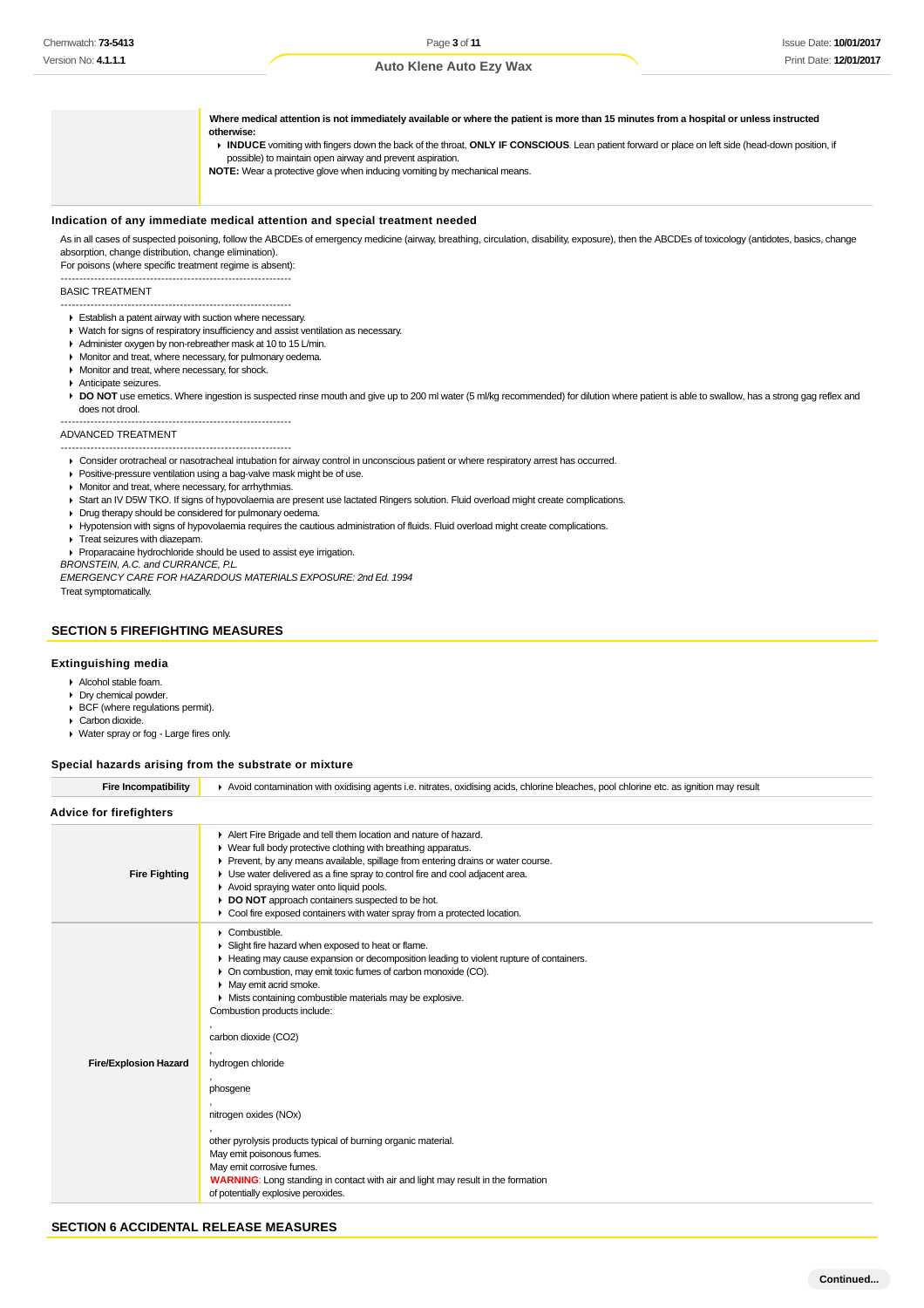**Where medical attention is not immediately available or where the patient is more than 15 minutes from a hospital or unless instructed otherwise: INDUCE** vomiting with fingers down the back of the throat, **ONLY IF CONSCIOUS**. Lean patient forward or place on left side (head-down position, if possible) to maintain open airway and prevent aspiration. **NOTE:** Wear a protective glove when inducing vomiting by mechanical means.

#### **Indication of any immediate medical attention and special treatment needed**

As in all cases of suspected poisoning, follow the ABCDEs of emergency medicine (airway, breathing, circulation, disability, exposure), then the ABCDEs of toxicology (antidotes, basics, change absorption, change distribution, change elimination).

For poisons (where specific treatment regime is absent): --------------------------------------------------------------

#### BASIC TREATMENT

-------------------------------------------------------------- Establish a patent airway with suction where necessary.

- Watch for signs of respiratory insufficiency and assist ventilation as necessary.
- Administer oxygen by non-rebreather mask at 10 to 15 L/min.
- **Monitor and treat, where necessary, for pulmonary oedema**
- **Monitor and treat, where necessary, for shock.**
- Anticipate seizures.
- DO NOT use emetics. Where ingestion is suspected rinse mouth and give up to 200 ml water (5 ml/kg recommended) for dilution where patient is able to swallow, has a strong gag reflex and does not drool.

#### -------------------------------------------------------------- ADVANCED TREATMENT

-------------------------------------------------------------- Consider orotracheal or nasotracheal intubation for airway control in unconscious patient or where respiratory arrest has occurred.

- **Positive-pressure ventilation using a bag-valve mask might be of use.**
- **Monitor and treat, where necessary, for arrhythmias.**
- Start an IV D5W TKO. If signs of hypovolaemia are present use lactated Ringers solution. Fluid overload might create complications.
- Drug therapy should be considered for pulmonary oedema.
- Hypotension with signs of hypovolaemia requires the cautious administration of fluids. Fluid overload might create complications.
- **Treat seizures with diazepam.**
- Proparacaine hydrochloride should be used to assist eye irrigation.

BRONSTEIN, A.C. and CURRANCE, P.L.

EMERGENCY CARE FOR HAZARDOUS MATERIALS EXPOSURE: 2nd Ed. 1994

Treat symptomatically.

### **SECTION 5 FIREFIGHTING MEASURES**

### **Extinguishing media**

- Alcohol stable foam.
- Dry chemical powder.
- ▶ BCF (where regulations permit).
- Carbon dioxide.
- Water spray or fog Large fires only.

#### **Special hazards arising from the substrate or mixture**

| <b>Advice for firefighters</b> |                                                                                                                                                                                                                                                                                                                                                                                                                                                                                                                                                                                                                                                                                 |
|--------------------------------|---------------------------------------------------------------------------------------------------------------------------------------------------------------------------------------------------------------------------------------------------------------------------------------------------------------------------------------------------------------------------------------------------------------------------------------------------------------------------------------------------------------------------------------------------------------------------------------------------------------------------------------------------------------------------------|
|                                |                                                                                                                                                                                                                                                                                                                                                                                                                                                                                                                                                                                                                                                                                 |
| <b>Fire Fighting</b>           | Alert Fire Brigade and tell them location and nature of hazard.<br>• Wear full body protective clothing with breathing apparatus.<br>Prevent, by any means available, spillage from entering drains or water course.<br>• Use water delivered as a fine spray to control fire and cool adjacent area.<br>Avoid spraying water onto liquid pools.<br>DO NOT approach containers suspected to be hot.<br>• Cool fire exposed containers with water spray from a protected location.                                                                                                                                                                                               |
| <b>Fire/Explosion Hazard</b>   | $\triangleright$ Combustible.<br>Slight fire hazard when exposed to heat or flame.<br>Heating may cause expansion or decomposition leading to violent rupture of containers.<br>• On combustion, may emit toxic fumes of carbon monoxide (CO).<br>• May emit acrid smoke.<br>• Mists containing combustible materials may be explosive.<br>Combustion products include:<br>carbon dioxide (CO2)<br>hydrogen chloride<br>phosgene<br>nitrogen oxides (NOx)<br>other pyrolysis products typical of burning organic material.<br>May emit poisonous fumes.<br>May emit corrosive fumes.<br><b>WARNING:</b> Long standing in contact with air and light may result in the formation |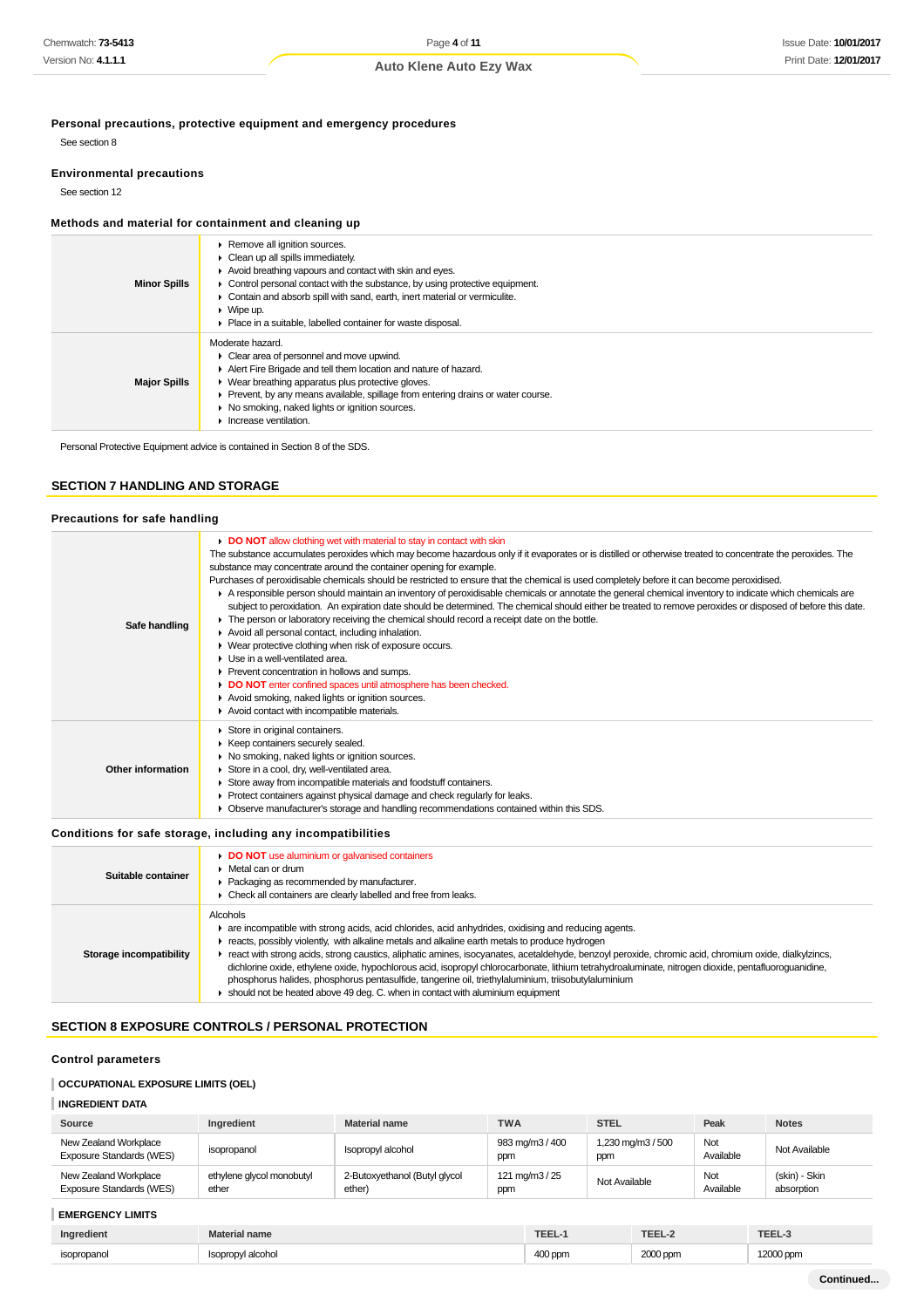**Personal precautions, protective equipment and emergency procedures**

See section 8

### **Environmental precautions**

See section 12

### **Methods and material for containment and cleaning up**

| <b>Minor Spills</b> | ▶ Remove all ignition sources.<br>$\triangleright$ Clean up all spills immediately.<br>Avoid breathing vapours and contact with skin and eyes.<br>• Control personal contact with the substance, by using protective equipment.<br>• Contain and absorb spill with sand, earth, inert material or vermiculite.<br>$\blacktriangleright$ Wipe up.<br>• Place in a suitable, labelled container for waste disposal. |
|---------------------|-------------------------------------------------------------------------------------------------------------------------------------------------------------------------------------------------------------------------------------------------------------------------------------------------------------------------------------------------------------------------------------------------------------------|
| <b>Major Spills</b> | Moderate hazard.<br>$\triangleright$ Clear area of personnel and move upwind.<br>Alert Fire Brigade and tell them location and nature of hazard.<br>• Wear breathing apparatus plus protective gloves.<br>▶ Prevent, by any means available, spillage from entering drains or water course.<br>▶ No smoking, naked lights or ignition sources.<br>$\blacktriangleright$ Increase ventilation.                     |

Personal Protective Equipment advice is contained in Section 8 of the SDS.

### **SECTION 7 HANDLING AND STORAGE**

### **Precautions for safe handling**

| DO NOT allow clothing wet with material to stay in contact with skin<br>The substance accumulates peroxides which may become hazardous only if it evaporates or is distilled or otherwise treated to concentrate the peroxides. The<br>substance may concentrate around the container opening for example.<br>Purchases of peroxidisable chemicals should be restricted to ensure that the chemical is used completely before it can become peroxidised.                                                      |                                                                                                                                                                                                                                                                                                                         |
|---------------------------------------------------------------------------------------------------------------------------------------------------------------------------------------------------------------------------------------------------------------------------------------------------------------------------------------------------------------------------------------------------------------------------------------------------------------------------------------------------------------|-------------------------------------------------------------------------------------------------------------------------------------------------------------------------------------------------------------------------------------------------------------------------------------------------------------------------|
| • The person or laboratory receiving the chemical should record a receipt date on the bottle.<br>Safe handling<br>Avoid all personal contact, including inhalation.<br>▶ Wear protective clothing when risk of exposure occurs.<br>$\blacktriangleright$ Use in a well-ventilated area.<br>▶ Prevent concentration in hollows and sumps.<br>DO NOT enter confined spaces until atmosphere has been checked.<br>Avoid smoking, naked lights or ignition sources.<br>Avoid contact with incompatible materials. | A responsible person should maintain an inventory of peroxidisable chemicals or annotate the general chemical inventory to indicate which chemicals are<br>subject to peroxidation. An expiration date should be determined. The chemical should either be treated to remove peroxides or disposed of before this date. |
| Store in original containers.<br>▶ Keep containers securely sealed.<br>• No smoking, naked lights or ignition sources.<br><b>Other information</b><br>Store in a cool, dry, well-ventilated area.<br>Store away from incompatible materials and foodstuff containers.<br>▶ Protect containers against physical damage and check regularly for leaks.<br>Observe manufacturer's storage and handling recommendations contained within this SDS.                                                                |                                                                                                                                                                                                                                                                                                                         |
| an ditti ang diagnosis ng anggotang diagnosis diagnosis na anggotang titulo ng pag-                                                                                                                                                                                                                                                                                                                                                                                                                           |                                                                                                                                                                                                                                                                                                                         |

### **Conditions for safe storage, including any incompatibilities**

| Suitable container      | DO NOT use aluminium or galvanised containers<br>Metal can or drum<br>Packaging as recommended by manufacturer.<br>Check all containers are clearly labelled and free from leaks.                                                                                                                                                                                                                                                                                                                                                                                                                                                                                                                                                 |
|-------------------------|-----------------------------------------------------------------------------------------------------------------------------------------------------------------------------------------------------------------------------------------------------------------------------------------------------------------------------------------------------------------------------------------------------------------------------------------------------------------------------------------------------------------------------------------------------------------------------------------------------------------------------------------------------------------------------------------------------------------------------------|
| Storage incompatibility | <b>Alcohols</b><br>are incompatible with strong acids, acid chlorides, acid anhydrides, oxidising and reducing agents.<br>reacts, possibly violently, with alkaline metals and alkaline earth metals to produce hydrogen<br>react with strong acids, strong caustics, aliphatic amines, isocyanates, acetaldehyde, benzoyl peroxide, chromic acid, chromium oxide, dialkylzincs,<br>dichlorine oxide, ethylene oxide, hypochlorous acid, isopropyl chlorocarbonate, lithium tetrahydroaluminate, nitrogen dioxide, pentafluoroquanidine,<br>phosphorus halides, phosphorus pentasulfide, tangerine oil, triethylaluminium, triisobutylaluminium<br>should not be heated above 49 deq. C. when in contact with aluminium equipment |

### **SECTION 8 EXPOSURE CONTROLS / PERSONAL PROTECTION**

### **Control parameters**

### **OCCUPATIONAL EXPOSURE LIMITS (OEL)**

### **INGREDIENT DATA**

| Source                                                   | Ingredient                         | Material name                           | <b>TWA</b>             | <b>STEL</b>              | Peak             | <b>Notes</b>                |
|----------------------------------------------------------|------------------------------------|-----------------------------------------|------------------------|--------------------------|------------------|-----------------------------|
| New Zealand Workplace<br><b>Exposure Standards (WES)</b> | isopropanol                        | Isopropyl alcohol                       | 983 mg/m3 / 400<br>ppm | 1,230 mg/m3 / 500<br>ppm | Not<br>Available | Not Available               |
| New Zealand Workplace<br><b>Exposure Standards (WES)</b> | ethylene glycol monobutyl<br>ether | 2-Butoxyethanol (Butyl glycol<br>ether) | 121 mg/m3 / 25<br>ppm  | Not Available            | Not<br>Available | (skin) - Skin<br>absorption |

### **EMERGENCY LIMITS**

| $-$<br>Ingredient | name           | abu-   | ---            | TEEL      |
|-------------------|----------------|--------|----------------|-----------|
| sopropanol<br>    | ' alcohol<br>. | $\sim$ | ് എറ∩ ppm<br>. | 12000 ppm |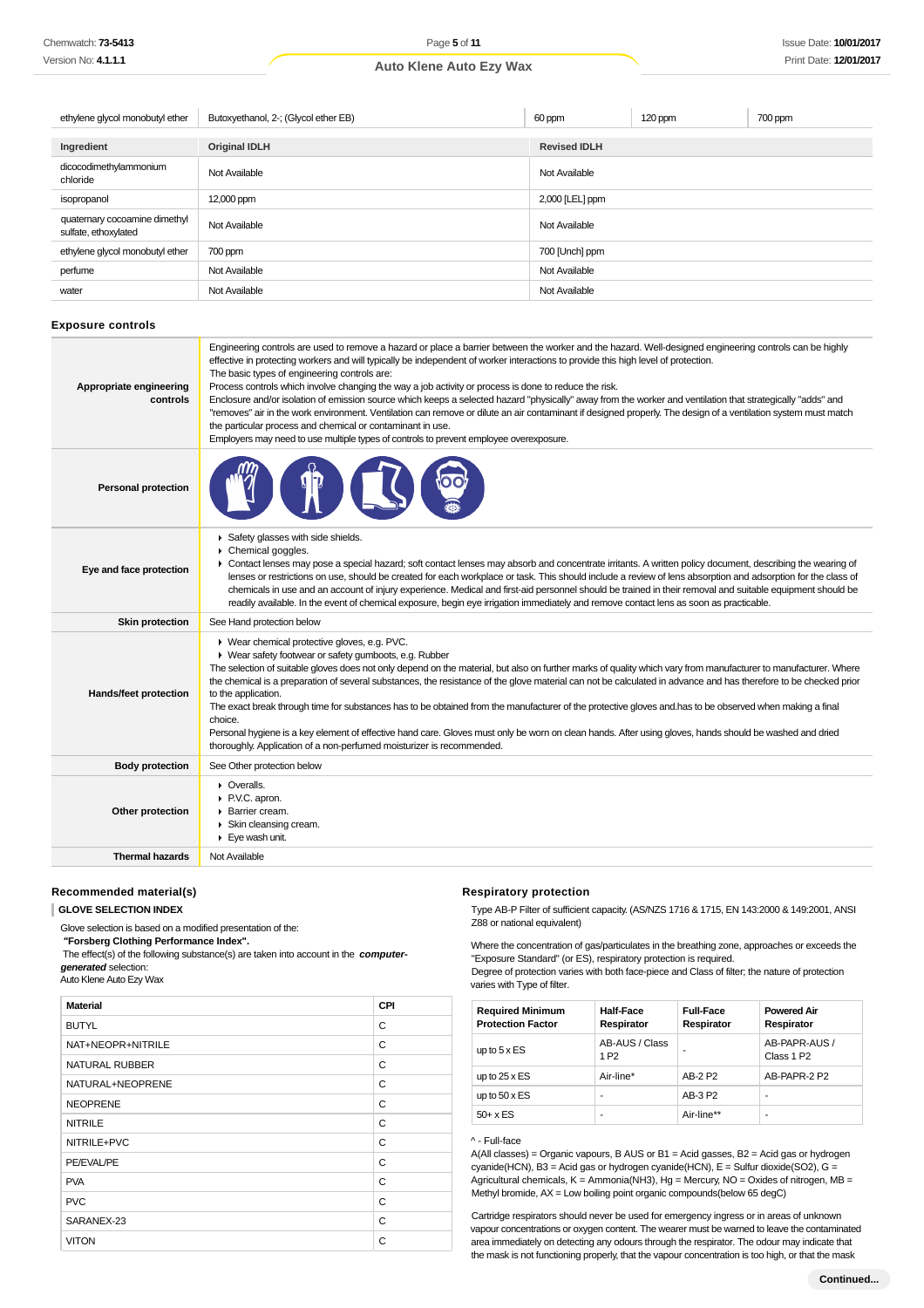| ethylene glycol monobutyl ether                       | Butoxyethanol, 2-; (Glycol ether EB) | 60 ppm              | 120 ppm | 700 ppm |
|-------------------------------------------------------|--------------------------------------|---------------------|---------|---------|
| Ingredient                                            | <b>Original IDLH</b>                 | <b>Revised IDLH</b> |         |         |
| dicocodimethylammonium<br>chloride                    | Not Available                        | Not Available       |         |         |
| isopropanol                                           | 12,000 ppm                           | 2,000 [LEL] ppm     |         |         |
| quaternary cocoamine dimethyl<br>sulfate, ethoxylated | Not Available                        | Not Available       |         |         |
| ethylene glycol monobutyl ether                       | 700 ppm                              | 700 [Unch] ppm      |         |         |
| perfume                                               | Not Available                        | Not Available       |         |         |
| water                                                 | Not Available                        | Not Available       |         |         |

#### **Exposure controls**

| Appropriate engineering<br>controls | Engineering controls are used to remove a hazard or place a barrier between the worker and the hazard. Well-designed engineering controls can be highly<br>effective in protecting workers and will typically be independent of worker interactions to provide this high level of protection.<br>The basic types of engineering controls are:<br>Process controls which involve changing the way a job activity or process is done to reduce the risk.<br>Enclosure and/or isolation of emission source which keeps a selected hazard "physically" away from the worker and ventilation that strategically "adds" and<br>"removes" air in the work environment. Ventilation can remove or dilute an air contaminant if designed properly. The design of a ventilation system must match<br>the particular process and chemical or contaminant in use.<br>Employers may need to use multiple types of controls to prevent employee overexposure. |
|-------------------------------------|-------------------------------------------------------------------------------------------------------------------------------------------------------------------------------------------------------------------------------------------------------------------------------------------------------------------------------------------------------------------------------------------------------------------------------------------------------------------------------------------------------------------------------------------------------------------------------------------------------------------------------------------------------------------------------------------------------------------------------------------------------------------------------------------------------------------------------------------------------------------------------------------------------------------------------------------------|
| <b>Personal protection</b>          |                                                                                                                                                                                                                                                                                                                                                                                                                                                                                                                                                                                                                                                                                                                                                                                                                                                                                                                                                 |
| Eye and face protection             | Safety glasses with side shields.<br>Chemical goggles.<br>• Contact lenses may pose a special hazard; soft contact lenses may absorb and concentrate irritants. A written policy document, describing the wearing of<br>lenses or restrictions on use, should be created for each workplace or task. This should include a review of lens absorption and adsorption for the class of<br>chemicals in use and an account of injury experience. Medical and first-aid personnel should be trained in their removal and suitable equipment should be<br>readily available. In the event of chemical exposure, begin eye irrigation immediately and remove contact lens as soon as practicable.                                                                                                                                                                                                                                                     |
| <b>Skin protection</b>              | See Hand protection below                                                                                                                                                                                                                                                                                                                                                                                                                                                                                                                                                                                                                                                                                                                                                                                                                                                                                                                       |
| Hands/feet protection               | ▶ Wear chemical protective gloves, e.g. PVC.<br>• Wear safety footwear or safety gumboots, e.g. Rubber<br>The selection of suitable gloves does not only depend on the material, but also on further marks of quality which vary from manufacturer to manufacturer. Where<br>the chemical is a preparation of several substances, the resistance of the glove material can not be calculated in advance and has therefore to be checked prior<br>to the application.<br>The exact break through time for substances has to be obtained from the manufacturer of the protective gloves and has to be observed when making a final<br>choice.<br>Personal hygiene is a key element of effective hand care. Gloves must only be worn on clean hands. After using gloves, hands should be washed and dried<br>thoroughly. Application of a non-perfumed moisturizer is recommended.                                                                 |
| <b>Body protection</b>              | See Other protection below                                                                                                                                                                                                                                                                                                                                                                                                                                                                                                                                                                                                                                                                                                                                                                                                                                                                                                                      |
| Other protection                    | • Overalls.<br>P.V.C. apron.<br>▶ Barrier cream.<br>Skin cleansing cream.<br>Eye wash unit.                                                                                                                                                                                                                                                                                                                                                                                                                                                                                                                                                                                                                                                                                                                                                                                                                                                     |
| <b>Thermal hazards</b>              | Not Available                                                                                                                                                                                                                                                                                                                                                                                                                                                                                                                                                                                                                                                                                                                                                                                                                                                                                                                                   |

### **Recommended material(s)**

**GLOVE SELECTION INDEX**

Glove selection is based on a modified presentation of the:

 **"Forsberg Clothing Performance Index".**

 The effect(s) of the following substance(s) are taken into account in the **computergenerated** selection:

Auto Klene Auto Ezy Wax

| <b>Material</b>   | CPI |
|-------------------|-----|
| <b>BUTYL</b>      | C   |
| NAT+NEOPR+NITRILE | C   |
| NATURAL RUBBER    | C   |
| NATURAL+NEOPRENE  | C   |
| <b>NEOPRENE</b>   | C   |
| <b>NITRILE</b>    | C   |
| NITRILE+PVC       | C   |
| PE/EVAL/PE        | C   |
| <b>PVA</b>        | C   |
| <b>PVC</b>        | C   |
| SARANEX-23        | C   |
| <b>VITON</b>      | C   |

### **Respiratory protection**

Type AB-P Filter of sufficient capacity. (AS/NZS 1716 & 1715, EN 143:2000 & 149:2001, ANSI Z88 or national equivalent)

Where the concentration of gas/particulates in the breathing zone, approaches or exceeds the "Exposure Standard" (or ES), respiratory protection is required.

Degree of protection varies with both face-piece and Class of filter; the nature of protection varies with Type of filter.

| <b>Required Minimum</b><br><b>Protection Factor</b> | <b>Half-Face</b><br>Respirator     | <b>Full-Face</b><br>Respirator | <b>Powered Air</b><br>Respirator        |
|-----------------------------------------------------|------------------------------------|--------------------------------|-----------------------------------------|
| up to $5 \times ES$                                 | AB-AUS / Class<br>1 P <sub>2</sub> |                                | AB-PAPR-AUS /<br>Class 1 P <sub>2</sub> |
| up to $25 \times ES$                                | Air-line*                          | AB-2 P2                        | AB-PAPR-2 P2                            |
| up to $50 \times ES$                                | -                                  | AB-3 P2                        | ۰                                       |
| $50+ x ES$                                          | ۰                                  | Air-line**                     | ۰                                       |

#### ^ - Full-face

A(All classes) = Organic vapours, B AUS or B1 = Acid gasses, B2 = Acid gas or hydrogen cyanide(HCN), B3 = Acid gas or hydrogen cyanide(HCN), E = Sulfur dioxide(SO2), G = Agricultural chemicals,  $K =$  Ammonia(NH3), Hg = Mercury, NO = Oxides of nitrogen, MB = Methyl bromide, AX = Low boiling point organic compounds(below 65 degC)

Cartridge respirators should never be used for emergency ingress or in areas of unknown vapour concentrations or oxygen content. The wearer must be warned to leave the contaminated area immediately on detecting any odours through the respirator. The odour may indicate that the mask is not functioning properly, that the vapour concentration is too high, or that the mask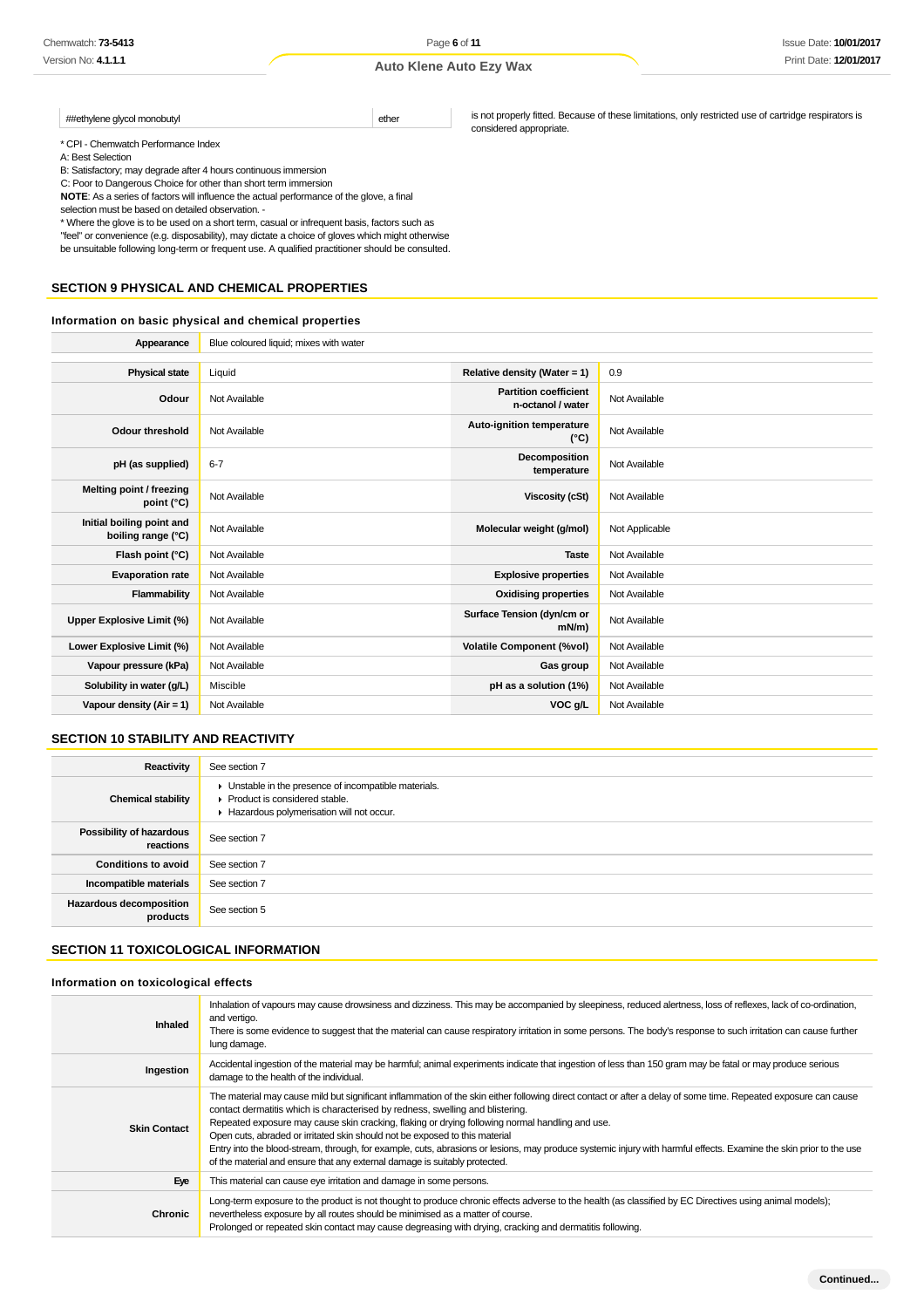\* CPI - Chemwatch Performance Index

A: Best Selection

B: Satisfactory; may degrade after 4 hours continuous immersion

C: Poor to Dangerous Choice for other than short term immersion

**NOTE**: As a series of factors will influence the actual performance of the glove, a final

##ethylene glycol monobutyl ether

selection must be based on detailed observation. -

\* Where the glove is to be used on a short term, casual or infrequent basis, factors such as "feel" or convenience (e.g. disposability), may dictate a choice of gloves which might otherwise be unsuitable following long-term or frequent use. A qualified practitioner should be consulted.

### **SECTION 9 PHYSICAL AND CHEMICAL PROPERTIES**

### **Information on basic physical and chemical properties**

| Appearance                                      | Blue coloured liquid; mixes with water |                                                   |                |
|-------------------------------------------------|----------------------------------------|---------------------------------------------------|----------------|
|                                                 |                                        |                                                   |                |
| <b>Physical state</b>                           | Liquid                                 | Relative density (Water = 1)                      | 0.9            |
| Odour                                           | Not Available                          | <b>Partition coefficient</b><br>n-octanol / water | Not Available  |
| Odour threshold                                 | Not Available                          | Auto-ignition temperature<br>$(^{\circ}C)$        | Not Available  |
| pH (as supplied)                                | $6 - 7$                                | <b>Decomposition</b><br>temperature               | Not Available  |
| Melting point / freezing<br>point (°C)          | Not Available                          | <b>Viscosity (cSt)</b>                            | Not Available  |
| Initial boiling point and<br>boiling range (°C) | Not Available                          | Molecular weight (g/mol)                          | Not Applicable |
| Flash point (°C)                                | Not Available                          | <b>Taste</b>                                      | Not Available  |
| <b>Evaporation rate</b>                         | Not Available                          | <b>Explosive properties</b>                       | Not Available  |
| Flammability                                    | Not Available                          | <b>Oxidising properties</b>                       | Not Available  |
| Upper Explosive Limit (%)                       | Not Available                          | Surface Tension (dyn/cm or<br>$mN/m$ )            | Not Available  |
| Lower Explosive Limit (%)                       | Not Available                          | <b>Volatile Component (%vol)</b>                  | Not Available  |
| Vapour pressure (kPa)                           | Not Available                          | Gas group                                         | Not Available  |
| Solubility in water (g/L)                       | Miscible                               | pH as a solution (1%)                             | Not Available  |
| Vapour density ( $Air = 1$ )                    | Not Available                          | VOC g/L                                           | Not Available  |

### **SECTION 10 STABILITY AND REACTIVITY**

| Reactivity                                 | See section 7                                                                                                                        |
|--------------------------------------------|--------------------------------------------------------------------------------------------------------------------------------------|
| <b>Chemical stability</b>                  | • Unstable in the presence of incompatible materials.<br>▶ Product is considered stable.<br>Hazardous polymerisation will not occur. |
| Possibility of hazardous<br>reactions      | See section 7                                                                                                                        |
| <b>Conditions to avoid</b>                 | See section 7                                                                                                                        |
| Incompatible materials                     | See section 7                                                                                                                        |
| <b>Hazardous decomposition</b><br>products | See section 5                                                                                                                        |

### **SECTION 11 TOXICOLOGICAL INFORMATION**

#### **Information on toxicological effects**

| Inhaled             | Inhalation of vapours may cause drowsiness and dizziness. This may be accompanied by sleepiness, reduced alertness, loss of reflexes, lack of co-ordination,<br>and vertigo.<br>There is some evidence to suggest that the material can cause respiratory irritation in some persons. The body's response to such irritation can cause further<br>lung damage.                                                                                                                                                                                                                                                                                                                          |
|---------------------|-----------------------------------------------------------------------------------------------------------------------------------------------------------------------------------------------------------------------------------------------------------------------------------------------------------------------------------------------------------------------------------------------------------------------------------------------------------------------------------------------------------------------------------------------------------------------------------------------------------------------------------------------------------------------------------------|
| Ingestion           | Accidental ingestion of the material may be harmful; animal experiments indicate that ingestion of less than 150 gram may be fatal or may produce serious<br>damage to the health of the individual.                                                                                                                                                                                                                                                                                                                                                                                                                                                                                    |
| <b>Skin Contact</b> | The material may cause mild but significant inflammation of the skin either following direct contact or after a delay of some time. Repeated exposure can cause<br>contact dermatitis which is characterised by redness, swelling and blistering.<br>Repeated exposure may cause skin cracking, flaking or drying following normal handling and use.<br>Open cuts, abraded or irritated skin should not be exposed to this material<br>Entry into the blood-stream, through, for example, cuts, abrasions or lesions, may produce systemic injury with harmful effects. Examine the skin prior to the use<br>of the material and ensure that any external damage is suitably protected. |
| Eye                 | This material can cause eye irritation and damage in some persons.                                                                                                                                                                                                                                                                                                                                                                                                                                                                                                                                                                                                                      |
| Chronic             | Long-term exposure to the product is not thought to produce chronic effects adverse to the health (as classified by EC Directives using animal models);<br>nevertheless exposure by all routes should be minimised as a matter of course.<br>Prolonged or repeated skin contact may cause degreasing with drying, cracking and dermatitis following.                                                                                                                                                                                                                                                                                                                                    |

is not properly fitted. Because of these limitations, only restricted use of cartridge respirators is considered appropriate.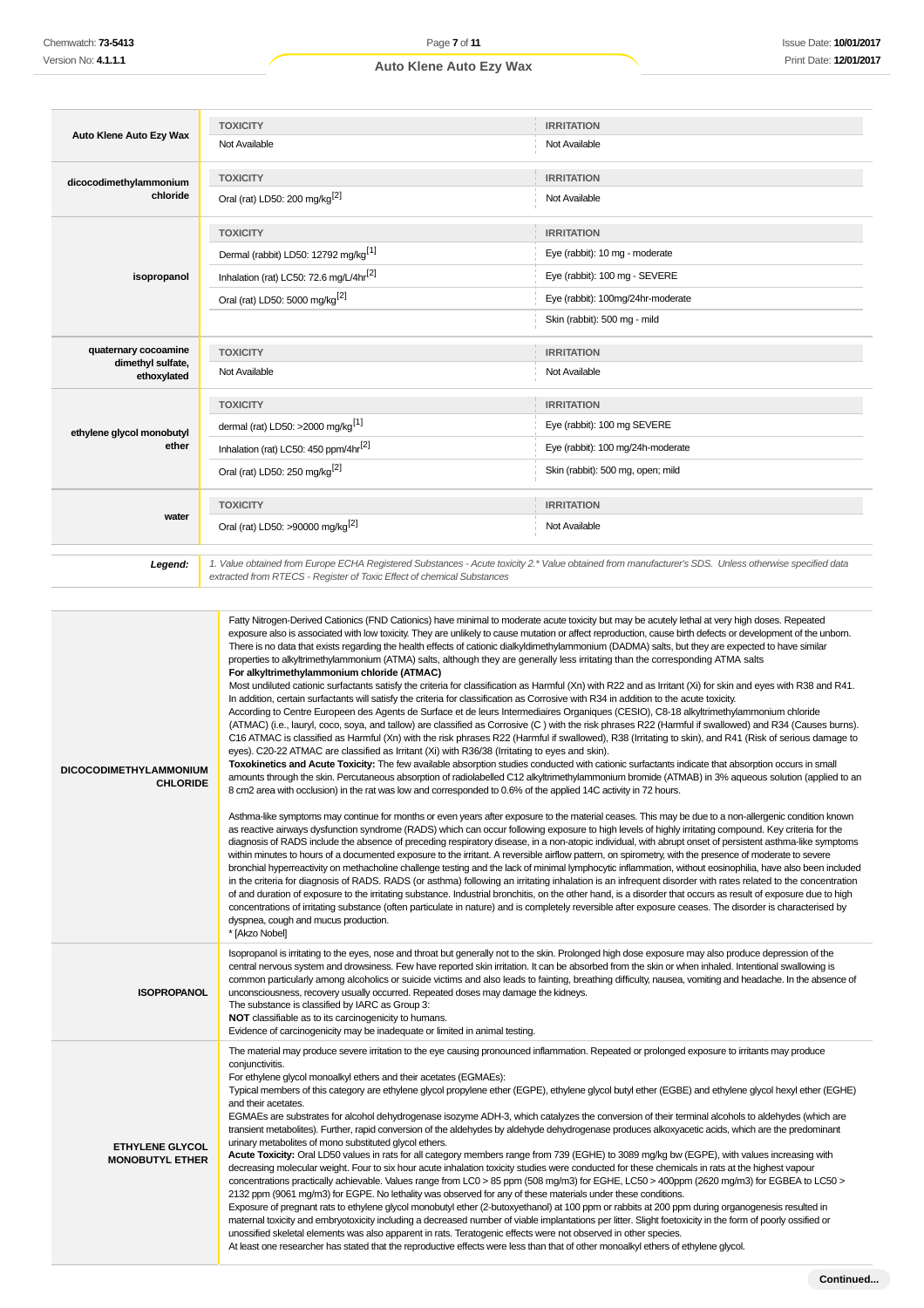| Auto Klene Auto Ezy Wax                          | <b>TOXICITY</b>                                                                                                                                                                                                                                                                                                                                                                                                                                                                                                                                                                                                                                                                                                                                                                                                                                                                                                                                                                                                                                                                                                                                                                                                                                                                                                                                                                                                                                                                                                                                                                                                                                                                                                                                                                                                                                                                                                                                                                                                                                                                                                                                                                                                                                                                                                                                                                                                                                                                                                                                                                                                                                                                                                                                                                                                                                                                                                                                                                                                                                                                                                                                                                                       | <b>IRRITATION</b>                                                                                                                                                                                                                                                                                                                                                                                                                                                                                                                                                                                                                                                                                                                                                                                                                                                                                                                                                                                                                                                                 |  |
|--------------------------------------------------|-------------------------------------------------------------------------------------------------------------------------------------------------------------------------------------------------------------------------------------------------------------------------------------------------------------------------------------------------------------------------------------------------------------------------------------------------------------------------------------------------------------------------------------------------------------------------------------------------------------------------------------------------------------------------------------------------------------------------------------------------------------------------------------------------------------------------------------------------------------------------------------------------------------------------------------------------------------------------------------------------------------------------------------------------------------------------------------------------------------------------------------------------------------------------------------------------------------------------------------------------------------------------------------------------------------------------------------------------------------------------------------------------------------------------------------------------------------------------------------------------------------------------------------------------------------------------------------------------------------------------------------------------------------------------------------------------------------------------------------------------------------------------------------------------------------------------------------------------------------------------------------------------------------------------------------------------------------------------------------------------------------------------------------------------------------------------------------------------------------------------------------------------------------------------------------------------------------------------------------------------------------------------------------------------------------------------------------------------------------------------------------------------------------------------------------------------------------------------------------------------------------------------------------------------------------------------------------------------------------------------------------------------------------------------------------------------------------------------------------------------------------------------------------------------------------------------------------------------------------------------------------------------------------------------------------------------------------------------------------------------------------------------------------------------------------------------------------------------------------------------------------------------------------------------------------------------------|-----------------------------------------------------------------------------------------------------------------------------------------------------------------------------------------------------------------------------------------------------------------------------------------------------------------------------------------------------------------------------------------------------------------------------------------------------------------------------------------------------------------------------------------------------------------------------------------------------------------------------------------------------------------------------------------------------------------------------------------------------------------------------------------------------------------------------------------------------------------------------------------------------------------------------------------------------------------------------------------------------------------------------------------------------------------------------------|--|
|                                                  | Not Available                                                                                                                                                                                                                                                                                                                                                                                                                                                                                                                                                                                                                                                                                                                                                                                                                                                                                                                                                                                                                                                                                                                                                                                                                                                                                                                                                                                                                                                                                                                                                                                                                                                                                                                                                                                                                                                                                                                                                                                                                                                                                                                                                                                                                                                                                                                                                                                                                                                                                                                                                                                                                                                                                                                                                                                                                                                                                                                                                                                                                                                                                                                                                                                         | Not Available                                                                                                                                                                                                                                                                                                                                                                                                                                                                                                                                                                                                                                                                                                                                                                                                                                                                                                                                                                                                                                                                     |  |
| dicocodimethylammonium                           | <b>TOXICITY</b>                                                                                                                                                                                                                                                                                                                                                                                                                                                                                                                                                                                                                                                                                                                                                                                                                                                                                                                                                                                                                                                                                                                                                                                                                                                                                                                                                                                                                                                                                                                                                                                                                                                                                                                                                                                                                                                                                                                                                                                                                                                                                                                                                                                                                                                                                                                                                                                                                                                                                                                                                                                                                                                                                                                                                                                                                                                                                                                                                                                                                                                                                                                                                                                       | <b>IRRITATION</b>                                                                                                                                                                                                                                                                                                                                                                                                                                                                                                                                                                                                                                                                                                                                                                                                                                                                                                                                                                                                                                                                 |  |
| chloride                                         | Oral (rat) LD50: 200 mg/kg <sup>[2]</sup>                                                                                                                                                                                                                                                                                                                                                                                                                                                                                                                                                                                                                                                                                                                                                                                                                                                                                                                                                                                                                                                                                                                                                                                                                                                                                                                                                                                                                                                                                                                                                                                                                                                                                                                                                                                                                                                                                                                                                                                                                                                                                                                                                                                                                                                                                                                                                                                                                                                                                                                                                                                                                                                                                                                                                                                                                                                                                                                                                                                                                                                                                                                                                             | Not Available                                                                                                                                                                                                                                                                                                                                                                                                                                                                                                                                                                                                                                                                                                                                                                                                                                                                                                                                                                                                                                                                     |  |
|                                                  | <b>TOXICITY</b>                                                                                                                                                                                                                                                                                                                                                                                                                                                                                                                                                                                                                                                                                                                                                                                                                                                                                                                                                                                                                                                                                                                                                                                                                                                                                                                                                                                                                                                                                                                                                                                                                                                                                                                                                                                                                                                                                                                                                                                                                                                                                                                                                                                                                                                                                                                                                                                                                                                                                                                                                                                                                                                                                                                                                                                                                                                                                                                                                                                                                                                                                                                                                                                       | <b>IRRITATION</b>                                                                                                                                                                                                                                                                                                                                                                                                                                                                                                                                                                                                                                                                                                                                                                                                                                                                                                                                                                                                                                                                 |  |
|                                                  | Dermal (rabbit) LD50: 12792 mg/kg <sup>[1]</sup>                                                                                                                                                                                                                                                                                                                                                                                                                                                                                                                                                                                                                                                                                                                                                                                                                                                                                                                                                                                                                                                                                                                                                                                                                                                                                                                                                                                                                                                                                                                                                                                                                                                                                                                                                                                                                                                                                                                                                                                                                                                                                                                                                                                                                                                                                                                                                                                                                                                                                                                                                                                                                                                                                                                                                                                                                                                                                                                                                                                                                                                                                                                                                      | Eye (rabbit): 10 mg - moderate                                                                                                                                                                                                                                                                                                                                                                                                                                                                                                                                                                                                                                                                                                                                                                                                                                                                                                                                                                                                                                                    |  |
| isopropanol                                      | Inhalation (rat) LC50: 72.6 mg/L/4hr <sup>[2]</sup>                                                                                                                                                                                                                                                                                                                                                                                                                                                                                                                                                                                                                                                                                                                                                                                                                                                                                                                                                                                                                                                                                                                                                                                                                                                                                                                                                                                                                                                                                                                                                                                                                                                                                                                                                                                                                                                                                                                                                                                                                                                                                                                                                                                                                                                                                                                                                                                                                                                                                                                                                                                                                                                                                                                                                                                                                                                                                                                                                                                                                                                                                                                                                   | Eye (rabbit): 100 mg - SEVERE                                                                                                                                                                                                                                                                                                                                                                                                                                                                                                                                                                                                                                                                                                                                                                                                                                                                                                                                                                                                                                                     |  |
|                                                  | Oral (rat) LD50: 5000 mg/kg <sup>[2]</sup>                                                                                                                                                                                                                                                                                                                                                                                                                                                                                                                                                                                                                                                                                                                                                                                                                                                                                                                                                                                                                                                                                                                                                                                                                                                                                                                                                                                                                                                                                                                                                                                                                                                                                                                                                                                                                                                                                                                                                                                                                                                                                                                                                                                                                                                                                                                                                                                                                                                                                                                                                                                                                                                                                                                                                                                                                                                                                                                                                                                                                                                                                                                                                            | Eye (rabbit): 100mg/24hr-moderate                                                                                                                                                                                                                                                                                                                                                                                                                                                                                                                                                                                                                                                                                                                                                                                                                                                                                                                                                                                                                                                 |  |
|                                                  |                                                                                                                                                                                                                                                                                                                                                                                                                                                                                                                                                                                                                                                                                                                                                                                                                                                                                                                                                                                                                                                                                                                                                                                                                                                                                                                                                                                                                                                                                                                                                                                                                                                                                                                                                                                                                                                                                                                                                                                                                                                                                                                                                                                                                                                                                                                                                                                                                                                                                                                                                                                                                                                                                                                                                                                                                                                                                                                                                                                                                                                                                                                                                                                                       | Skin (rabbit): 500 mg - mild                                                                                                                                                                                                                                                                                                                                                                                                                                                                                                                                                                                                                                                                                                                                                                                                                                                                                                                                                                                                                                                      |  |
|                                                  |                                                                                                                                                                                                                                                                                                                                                                                                                                                                                                                                                                                                                                                                                                                                                                                                                                                                                                                                                                                                                                                                                                                                                                                                                                                                                                                                                                                                                                                                                                                                                                                                                                                                                                                                                                                                                                                                                                                                                                                                                                                                                                                                                                                                                                                                                                                                                                                                                                                                                                                                                                                                                                                                                                                                                                                                                                                                                                                                                                                                                                                                                                                                                                                                       |                                                                                                                                                                                                                                                                                                                                                                                                                                                                                                                                                                                                                                                                                                                                                                                                                                                                                                                                                                                                                                                                                   |  |
| quaternary cocoamine<br>dimethyl sulfate,        | <b>TOXICITY</b><br>Not Available                                                                                                                                                                                                                                                                                                                                                                                                                                                                                                                                                                                                                                                                                                                                                                                                                                                                                                                                                                                                                                                                                                                                                                                                                                                                                                                                                                                                                                                                                                                                                                                                                                                                                                                                                                                                                                                                                                                                                                                                                                                                                                                                                                                                                                                                                                                                                                                                                                                                                                                                                                                                                                                                                                                                                                                                                                                                                                                                                                                                                                                                                                                                                                      | <b>IRRITATION</b><br>Not Available                                                                                                                                                                                                                                                                                                                                                                                                                                                                                                                                                                                                                                                                                                                                                                                                                                                                                                                                                                                                                                                |  |
| ethoxylated                                      |                                                                                                                                                                                                                                                                                                                                                                                                                                                                                                                                                                                                                                                                                                                                                                                                                                                                                                                                                                                                                                                                                                                                                                                                                                                                                                                                                                                                                                                                                                                                                                                                                                                                                                                                                                                                                                                                                                                                                                                                                                                                                                                                                                                                                                                                                                                                                                                                                                                                                                                                                                                                                                                                                                                                                                                                                                                                                                                                                                                                                                                                                                                                                                                                       |                                                                                                                                                                                                                                                                                                                                                                                                                                                                                                                                                                                                                                                                                                                                                                                                                                                                                                                                                                                                                                                                                   |  |
|                                                  | <b>TOXICITY</b>                                                                                                                                                                                                                                                                                                                                                                                                                                                                                                                                                                                                                                                                                                                                                                                                                                                                                                                                                                                                                                                                                                                                                                                                                                                                                                                                                                                                                                                                                                                                                                                                                                                                                                                                                                                                                                                                                                                                                                                                                                                                                                                                                                                                                                                                                                                                                                                                                                                                                                                                                                                                                                                                                                                                                                                                                                                                                                                                                                                                                                                                                                                                                                                       | <b>IRRITATION</b>                                                                                                                                                                                                                                                                                                                                                                                                                                                                                                                                                                                                                                                                                                                                                                                                                                                                                                                                                                                                                                                                 |  |
| ethylene glycol monobutyl                        | dermal (rat) LD50: >2000 mg/kg <sup>[1]</sup>                                                                                                                                                                                                                                                                                                                                                                                                                                                                                                                                                                                                                                                                                                                                                                                                                                                                                                                                                                                                                                                                                                                                                                                                                                                                                                                                                                                                                                                                                                                                                                                                                                                                                                                                                                                                                                                                                                                                                                                                                                                                                                                                                                                                                                                                                                                                                                                                                                                                                                                                                                                                                                                                                                                                                                                                                                                                                                                                                                                                                                                                                                                                                         | Eye (rabbit): 100 mg SEVERE                                                                                                                                                                                                                                                                                                                                                                                                                                                                                                                                                                                                                                                                                                                                                                                                                                                                                                                                                                                                                                                       |  |
| ether                                            | Inhalation (rat) LC50: 450 ppm/4hr <sup>[2]</sup>                                                                                                                                                                                                                                                                                                                                                                                                                                                                                                                                                                                                                                                                                                                                                                                                                                                                                                                                                                                                                                                                                                                                                                                                                                                                                                                                                                                                                                                                                                                                                                                                                                                                                                                                                                                                                                                                                                                                                                                                                                                                                                                                                                                                                                                                                                                                                                                                                                                                                                                                                                                                                                                                                                                                                                                                                                                                                                                                                                                                                                                                                                                                                     | Eye (rabbit): 100 mg/24h-moderate                                                                                                                                                                                                                                                                                                                                                                                                                                                                                                                                                                                                                                                                                                                                                                                                                                                                                                                                                                                                                                                 |  |
|                                                  | Oral (rat) LD50: 250 mg/kg <sup>[2]</sup>                                                                                                                                                                                                                                                                                                                                                                                                                                                                                                                                                                                                                                                                                                                                                                                                                                                                                                                                                                                                                                                                                                                                                                                                                                                                                                                                                                                                                                                                                                                                                                                                                                                                                                                                                                                                                                                                                                                                                                                                                                                                                                                                                                                                                                                                                                                                                                                                                                                                                                                                                                                                                                                                                                                                                                                                                                                                                                                                                                                                                                                                                                                                                             | Skin (rabbit): 500 mg, open; mild                                                                                                                                                                                                                                                                                                                                                                                                                                                                                                                                                                                                                                                                                                                                                                                                                                                                                                                                                                                                                                                 |  |
|                                                  | <b>TOXICITY</b>                                                                                                                                                                                                                                                                                                                                                                                                                                                                                                                                                                                                                                                                                                                                                                                                                                                                                                                                                                                                                                                                                                                                                                                                                                                                                                                                                                                                                                                                                                                                                                                                                                                                                                                                                                                                                                                                                                                                                                                                                                                                                                                                                                                                                                                                                                                                                                                                                                                                                                                                                                                                                                                                                                                                                                                                                                                                                                                                                                                                                                                                                                                                                                                       | <b>IRRITATION</b>                                                                                                                                                                                                                                                                                                                                                                                                                                                                                                                                                                                                                                                                                                                                                                                                                                                                                                                                                                                                                                                                 |  |
| water                                            | Oral (rat) LD50: >90000 mg/kg <sup>[2]</sup>                                                                                                                                                                                                                                                                                                                                                                                                                                                                                                                                                                                                                                                                                                                                                                                                                                                                                                                                                                                                                                                                                                                                                                                                                                                                                                                                                                                                                                                                                                                                                                                                                                                                                                                                                                                                                                                                                                                                                                                                                                                                                                                                                                                                                                                                                                                                                                                                                                                                                                                                                                                                                                                                                                                                                                                                                                                                                                                                                                                                                                                                                                                                                          | Not Available                                                                                                                                                                                                                                                                                                                                                                                                                                                                                                                                                                                                                                                                                                                                                                                                                                                                                                                                                                                                                                                                     |  |
| Legend:                                          | extracted from RTECS - Register of Toxic Effect of chemical Substances                                                                                                                                                                                                                                                                                                                                                                                                                                                                                                                                                                                                                                                                                                                                                                                                                                                                                                                                                                                                                                                                                                                                                                                                                                                                                                                                                                                                                                                                                                                                                                                                                                                                                                                                                                                                                                                                                                                                                                                                                                                                                                                                                                                                                                                                                                                                                                                                                                                                                                                                                                                                                                                                                                                                                                                                                                                                                                                                                                                                                                                                                                                                | 1. Value obtained from Europe ECHA Registered Substances - Acute toxicity 2.* Value obtained from manufacturer's SDS. Unless otherwise specified data                                                                                                                                                                                                                                                                                                                                                                                                                                                                                                                                                                                                                                                                                                                                                                                                                                                                                                                             |  |
|                                                  |                                                                                                                                                                                                                                                                                                                                                                                                                                                                                                                                                                                                                                                                                                                                                                                                                                                                                                                                                                                                                                                                                                                                                                                                                                                                                                                                                                                                                                                                                                                                                                                                                                                                                                                                                                                                                                                                                                                                                                                                                                                                                                                                                                                                                                                                                                                                                                                                                                                                                                                                                                                                                                                                                                                                                                                                                                                                                                                                                                                                                                                                                                                                                                                                       |                                                                                                                                                                                                                                                                                                                                                                                                                                                                                                                                                                                                                                                                                                                                                                                                                                                                                                                                                                                                                                                                                   |  |
| <b>DICOCODIMETHYLAMMONIUM</b>                    | exposure also is associated with low toxicity. They are unlikely to cause mutation or affect reproduction, cause birth defects or development of the unborn.<br>There is no data that exists regarding the health effects of cationic dialkyldimethylammonium (DADMA) salts, but they are expected to have similar<br>properties to alkyltrimethylammonium (ATMA) salts, although they are generally less irritating than the corresponding ATMA salts<br>For alkyltrimethylammonium chloride (ATMAC)<br>Most undiluted cationic surfactants satisfy the criteria for classification as Harmful (Xn) with R22 and as Irritant (Xi) for skin and eyes with R38 and R41.<br>In addition, certain surfactants will satisfy the criteria for classification as Corrosive with R34 in addition to the acute toxicity.<br>According to Centre Europeen des Agents de Surface et de leurs Intermediaires Organiques (CESIO), C8-18 alkyltrimethylammonium chloride<br>(ATMAC) (i.e., lauryl, coco, soya, and tallow) are classified as Corrosive (C) with the risk phrases R22 (Harmful if swallowed) and R34 (Causes burns).<br>C16 ATMAC is classified as Harmful (Xn) with the risk phrases R22 (Harmful if swallowed), R38 (Irritating to skin), and R41 (Risk of serious damage to<br>eyes). C20-22 ATMAC are classified as Irritant (Xi) with R36/38 (Irritating to eyes and skin).<br>Toxokinetics and Acute Toxicity: The few available absorption studies conducted with cationic surfactants indicate that absorption occurs in small<br>amounts through the skin. Percutaneous absorption of radiolabelled C12 alkyltrimethylammonium bromide (ATMAB) in 3% aqueous solution (applied to an<br><b>CHLORIDE</b><br>8 cm2 area with occlusion) in the rat was low and corresponded to 0.6% of the applied 14C activity in 72 hours.<br>Asthma-like symptoms may continue for months or even years after exposure to the material ceases. This may be due to a non-allergenic condition known<br>as reactive airways dysfunction syndrome (RADS) which can occur following exposure to high levels of highly irritating compound. Key criteria for the<br>diagnosis of RADS include the absence of preceding respiratory disease, in a non-atopic individual, with abrupt onset of persistent asthma-like symptoms<br>within minutes to hours of a documented exposure to the irritant. A reversible airflow pattern, on spirometry, with the presence of moderate to severe<br>bronchial hyperreactivity on methacholine challenge testing and the lack of minimal lymphocytic inflammation, without eosinophilia, have also been included<br>in the criteria for diagnosis of RADS. RADS (or asthma) following an irritating inhalation is an infrequent disorder with rates related to the concentration<br>of and duration of exposure to the irritating substance. Industrial bronchitis, on the other hand, is a disorder that occurs as result of exposure due to high<br>concentrations of irritating substance (often particulate in nature) and is completely reversible after exposure ceases. The disorder is characterised by<br>dyspnea, cough and mucus production.<br>* [Akzo Nobel] |                                                                                                                                                                                                                                                                                                                                                                                                                                                                                                                                                                                                                                                                                                                                                                                                                                                                                                                                                                                                                                                                                   |  |
| <b>ISOPROPANOL</b>                               | Isopropanol is irritating to the eyes, nose and throat but generally not to the skin. Prolonged high dose exposure may also produce depression of the<br>central nervous system and drowsiness. Few have reported skin irritation. It can be absorbed from the skin or when inhaled. Intentional swallowing is<br>common particularly among alcoholics or suicide victims and also leads to fainting, breathing difficulty, nausea, vomiting and headache. In the absence of<br>unconsciousness, recovery usually occurred. Repeated doses may damage the kidneys.<br>The substance is classified by IARC as Group 3:<br><b>NOT</b> classifiable as to its carcinogenicity to humans.<br>Evidence of carcinogenicity may be inadequate or limited in animal testing.                                                                                                                                                                                                                                                                                                                                                                                                                                                                                                                                                                                                                                                                                                                                                                                                                                                                                                                                                                                                                                                                                                                                                                                                                                                                                                                                                                                                                                                                                                                                                                                                                                                                                                                                                                                                                                                                                                                                                                                                                                                                                                                                                                                                                                                                                                                                                                                                                                  |                                                                                                                                                                                                                                                                                                                                                                                                                                                                                                                                                                                                                                                                                                                                                                                                                                                                                                                                                                                                                                                                                   |  |
| <b>ETHYLENE GLYCOL</b><br><b>MONOBUTYL ETHER</b> | The material may produce severe irritation to the eye causing pronounced inflammation. Repeated or prolonged exposure to irritants may produce<br>conjunctivitis.<br>For ethylene glycol monoalkyl ethers and their acetates (EGMAEs):<br>and their acetates.<br>urinary metabolites of mono substituted glycol ethers.<br>decreasing molecular weight. Four to six hour acute inhalation toxicity studies were conducted for these chemicals in rats at the highest vapour<br>2132 ppm (9061 mg/m3) for EGPE. No lethality was observed for any of these materials under these conditions.<br>unossified skeletal elements was also apparent in rats. Teratogenic effects were not observed in other species.<br>At least one researcher has stated that the reproductive effects were less than that of other monoalkyl ethers of ethylene glycol.                                                                                                                                                                                                                                                                                                                                                                                                                                                                                                                                                                                                                                                                                                                                                                                                                                                                                                                                                                                                                                                                                                                                                                                                                                                                                                                                                                                                                                                                                                                                                                                                                                                                                                                                                                                                                                                                                                                                                                                                                                                                                                                                                                                                                                                                                                                                                  | Typical members of this category are ethylene glycol propylene ether (EGPE), ethylene glycol butyl ether (EGBE) and ethylene glycol hexyl ether (EGHE)<br>EGMAEs are substrates for alcohol dehydrogenase isozyme ADH-3, which catalyzes the conversion of their terminal alcohols to aldehydes (which are<br>transient metabolites). Further, rapid conversion of the aldehydes by aldehyde dehydrogenase produces alkoxyacetic acids, which are the predominant<br>Acute Toxicity: Oral LD50 values in rats for all category members range from 739 (EGHE) to 3089 mg/kg bw (EGPE), with values increasing with<br>concentrations practically achievable. Values range from LC0 > 85 ppm (508 mg/m3) for EGHE, LC50 > 400ppm (2620 mg/m3) for EGBEA to LC50 ><br>Exposure of pregnant rats to ethylene glycol monobutyl ether (2-butoxyethanol) at 100 ppm or rabbits at 200 ppm during organogenesis resulted in<br>maternal toxicity and embryotoxicity including a decreased number of viable implantations per litter. Slight foetoxicity in the form of poorly ossified or |  |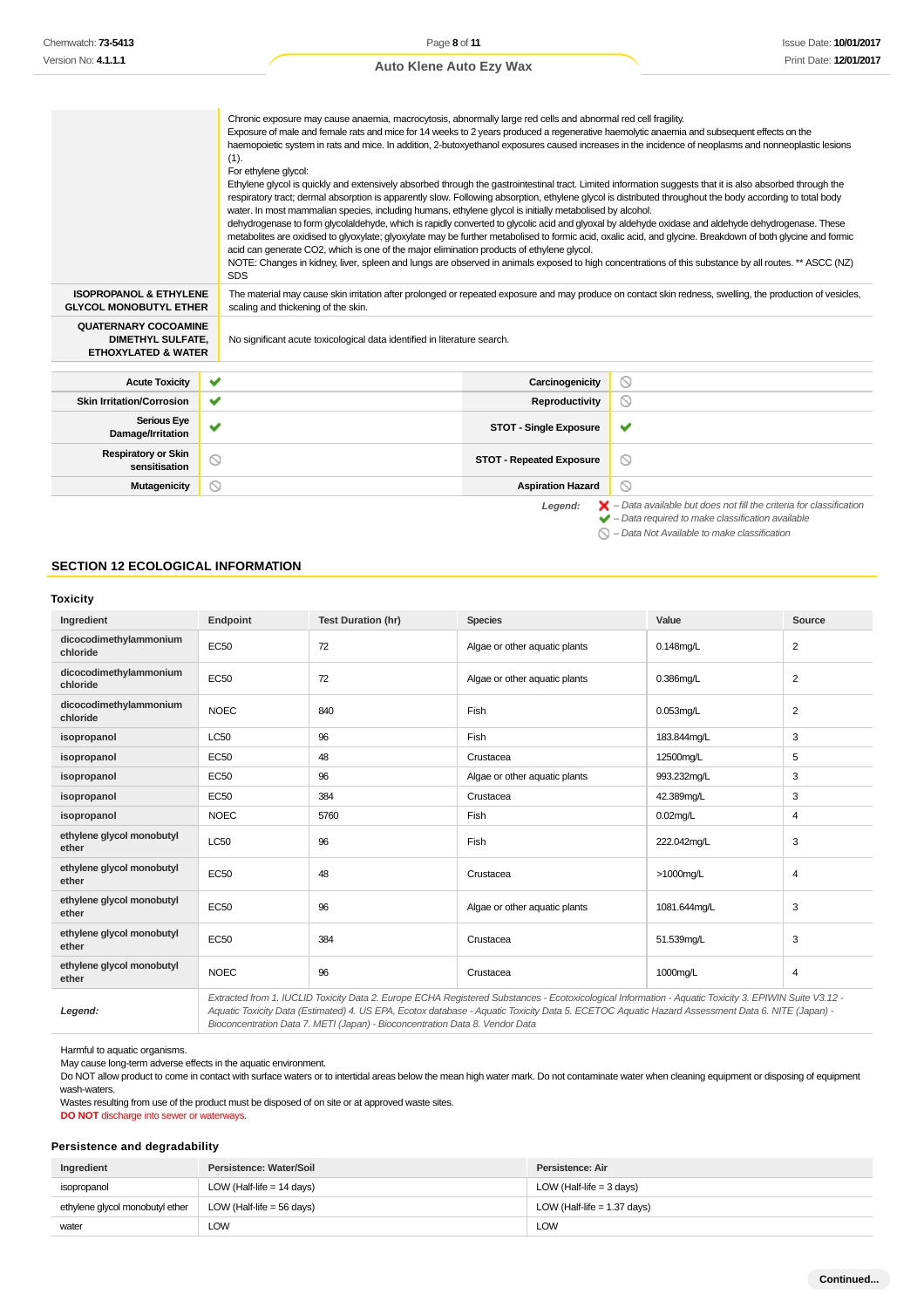|                                                                                           | Chronic exposure may cause anaemia, macrocytosis, abnormally large red cells and abnormal red cell fragility.<br>Exposure of male and female rats and mice for 14 weeks to 2 years produced a regenerative haemolytic anaemia and subsequent effects on the<br>haemopoietic system in rats and mice. In addition, 2-butoxyethanol exposures caused increases in the incidence of neoplasms and nonneoplastic lesions<br>(1).<br>For ethylene glycol:<br>Ethylene glycol is quickly and extensively absorbed through the gastrointestinal tract. Limited information suggests that it is also absorbed through the<br>respiratory tract; dermal absorption is apparently slow. Following absorption, ethylene glycol is distributed throughout the body according to total body<br>water. In most mammalian species, including humans, ethylene glycol is initially metabolised by alcohol.<br>dehydrogenase to form glycolaldehyde, which is rapidly converted to glycolic acid and glyoxal by aldehyde oxidase and aldehyde dehydrogenase. These<br>metabolites are oxidised to glyoxylate; glyoxylate may be further metabolised to formic acid, oxalic acid, and glycine. Breakdown of both glycine and formic<br>acid can generate CO2, which is one of the major elimination products of ethylene glycol.<br>NOTE: Changes in kidney, liver, spleen and lungs are observed in animals exposed to high concentrations of this substance by all routes. ** ASCC (NZ)<br><b>SDS</b> |                                                                                                                                                            |                                                                                                                                                                    |  |
|-------------------------------------------------------------------------------------------|---------------------------------------------------------------------------------------------------------------------------------------------------------------------------------------------------------------------------------------------------------------------------------------------------------------------------------------------------------------------------------------------------------------------------------------------------------------------------------------------------------------------------------------------------------------------------------------------------------------------------------------------------------------------------------------------------------------------------------------------------------------------------------------------------------------------------------------------------------------------------------------------------------------------------------------------------------------------------------------------------------------------------------------------------------------------------------------------------------------------------------------------------------------------------------------------------------------------------------------------------------------------------------------------------------------------------------------------------------------------------------------------------------------------------------------------------------------------------------------|------------------------------------------------------------------------------------------------------------------------------------------------------------|--------------------------------------------------------------------------------------------------------------------------------------------------------------------|--|
| <b>ISOPROPANOL &amp; ETHYLENE</b><br><b>GLYCOL MONOBUTYL ETHER</b>                        | scaling and thickening of the skin.                                                                                                                                                                                                                                                                                                                                                                                                                                                                                                                                                                                                                                                                                                                                                                                                                                                                                                                                                                                                                                                                                                                                                                                                                                                                                                                                                                                                                                                   | The material may cause skin irritation after prolonged or repeated exposure and may produce on contact skin redness, swelling, the production of vesicles, |                                                                                                                                                                    |  |
| <b>QUATERNARY COCOAMINE</b><br><b>DIMETHYL SULFATE.</b><br><b>ETHOXYLATED &amp; WATER</b> | No significant acute toxicological data identified in literature search.                                                                                                                                                                                                                                                                                                                                                                                                                                                                                                                                                                                                                                                                                                                                                                                                                                                                                                                                                                                                                                                                                                                                                                                                                                                                                                                                                                                                              |                                                                                                                                                            |                                                                                                                                                                    |  |
|                                                                                           |                                                                                                                                                                                                                                                                                                                                                                                                                                                                                                                                                                                                                                                                                                                                                                                                                                                                                                                                                                                                                                                                                                                                                                                                                                                                                                                                                                                                                                                                                       |                                                                                                                                                            |                                                                                                                                                                    |  |
| <b>Acute Toxicity</b>                                                                     | ✔                                                                                                                                                                                                                                                                                                                                                                                                                                                                                                                                                                                                                                                                                                                                                                                                                                                                                                                                                                                                                                                                                                                                                                                                                                                                                                                                                                                                                                                                                     | Carcinogenicity                                                                                                                                            | $\circledcirc$                                                                                                                                                     |  |
| <b>Skin Irritation/Corrosion</b>                                                          | ✔                                                                                                                                                                                                                                                                                                                                                                                                                                                                                                                                                                                                                                                                                                                                                                                                                                                                                                                                                                                                                                                                                                                                                                                                                                                                                                                                                                                                                                                                                     | Reproductivity                                                                                                                                             | $\circledcirc$                                                                                                                                                     |  |
| <b>Serious Eye</b><br>Damage/Irritation                                                   | $\checkmark$                                                                                                                                                                                                                                                                                                                                                                                                                                                                                                                                                                                                                                                                                                                                                                                                                                                                                                                                                                                                                                                                                                                                                                                                                                                                                                                                                                                                                                                                          | <b>STOT - Single Exposure</b>                                                                                                                              | ✔                                                                                                                                                                  |  |
| <b>Respiratory or Skin</b><br>sensitisation                                               | $\circlearrowright$                                                                                                                                                                                                                                                                                                                                                                                                                                                                                                                                                                                                                                                                                                                                                                                                                                                                                                                                                                                                                                                                                                                                                                                                                                                                                                                                                                                                                                                                   | <b>STOT - Repeated Exposure</b>                                                                                                                            | $\circledcirc$                                                                                                                                                     |  |
| <b>Mutagenicity</b>                                                                       | ⊚                                                                                                                                                                                                                                                                                                                                                                                                                                                                                                                                                                                                                                                                                                                                                                                                                                                                                                                                                                                                                                                                                                                                                                                                                                                                                                                                                                                                                                                                                     | <b>Aspiration Hazard</b>                                                                                                                                   | $\circledcirc$                                                                                                                                                     |  |
|                                                                                           |                                                                                                                                                                                                                                                                                                                                                                                                                                                                                                                                                                                                                                                                                                                                                                                                                                                                                                                                                                                                                                                                                                                                                                                                                                                                                                                                                                                                                                                                                       | Legend:                                                                                                                                                    | $\blacktriangleright$ - Data available but does not fill the criteria for classification<br>$\blacktriangleright$ - Data required to make classification available |  |

 $\bigcirc$  – Data Not Available to make classification

### **SECTION 12 ECOLOGICAL INFORMATION**

### **Toxicity**

| Ingredient                         | Endpoint                                                                                                                                             | <b>Test Duration (hr)</b> | <b>Species</b>                | Value        | Source         |
|------------------------------------|------------------------------------------------------------------------------------------------------------------------------------------------------|---------------------------|-------------------------------|--------------|----------------|
| dicocodimethylammonium<br>chloride | EC50                                                                                                                                                 | 72                        | Algae or other aquatic plants | $0.148$ mg/L | $\overline{2}$ |
| dicocodimethylammonium<br>chloride | <b>EC50</b>                                                                                                                                          | 72                        | Algae or other aquatic plants | 0.386mg/L    | $\overline{2}$ |
| dicocodimethylammonium<br>chloride | <b>NOEC</b>                                                                                                                                          | 840                       | Fish                          | $0.053$ ma/L | $\overline{2}$ |
| isopropanol                        | LC50                                                                                                                                                 | 96                        | Fish                          | 183.844mg/L  | 3              |
| isopropanol                        | <b>EC50</b>                                                                                                                                          | 48                        | Crustacea                     | 12500mg/L    | 5              |
| isopropanol                        | <b>EC50</b>                                                                                                                                          | 96                        | Algae or other aquatic plants | 993.232mg/L  | 3              |
| isopropanol                        | EC50                                                                                                                                                 | 384                       | Crustacea                     | 42.389mg/L   | 3              |
| isopropanol                        | <b>NOEC</b>                                                                                                                                          | 5760                      | Fish                          | $0.02$ mg/L  | $\overline{4}$ |
| ethylene glycol monobutyl<br>ether | <b>LC50</b>                                                                                                                                          | 96                        | Fish                          | 222.042mg/L  | 3              |
| ethylene glycol monobutyl<br>ether | <b>EC50</b>                                                                                                                                          | 48                        | Crustacea                     | >1000mg/L    | 4              |
| ethylene glycol monobutyl<br>ether | <b>EC50</b>                                                                                                                                          | 96                        | Algae or other aquatic plants | 1081.644mg/L | 3              |
| ethylene glycol monobutyl<br>ether | EC50                                                                                                                                                 | 384                       | Crustacea                     | 51.539mg/L   | 3              |
| ethylene glycol monobutyl<br>ether | <b>NOEC</b>                                                                                                                                          | 96                        | Crustacea                     | 1000mg/L     | 4              |
|                                    | Extracted from 1 ILICLID Toxicity Data 2 Europe ECHA Peqistered Substances - Ecotoxicological Information - Aquatic Toxicity 3 EDIMIN Suite 1/3 12 - |                           |                               |              |                |

**Legend:**

Extracted from 1. IUCLID Toxicity Data 2. Europe ECHA Registered Substances - Ecotoxicological Information - Aquatic Toxicity 3. EPIWIN Suite V3.12 - Aquatic Toxicity Data (Estimated) 4. US EPA, Ecotox database - Aquatic Toxicity Data 5. ECETOC Aquatic Hazard Assessment Data 6. NITE (Japan) - Bioconcentration Data 7. METI (Japan) - Bioconcentration Data 8. Vendor Data

Harmful to aquatic organisms.

May cause long-term adverse effects in the aquatic environment.

Do NOT allow product to come in contact with surface waters or to intertidal areas below the mean high water mark. Do not contaminate water when cleaning equipment or disposing of equipment wash-waters.

Wastes resulting from use of the product must be disposed of on site or at approved waste sites.

**DO NOT** discharge into sewer or waterways.

### **Persistence and degradability**

| Ingredient                      | Persistence: Water/Soil     | Persistence: Air              |
|---------------------------------|-----------------------------|-------------------------------|
| isopropanol                     | LOW (Half-life $= 14$ days) | LOW (Half-life = 3 days)      |
| ethylene glycol monobutyl ether | LOW (Half-life = 56 days)   | LOW (Half-life $= 1.37$ days) |
| water                           | LOW                         | LOW                           |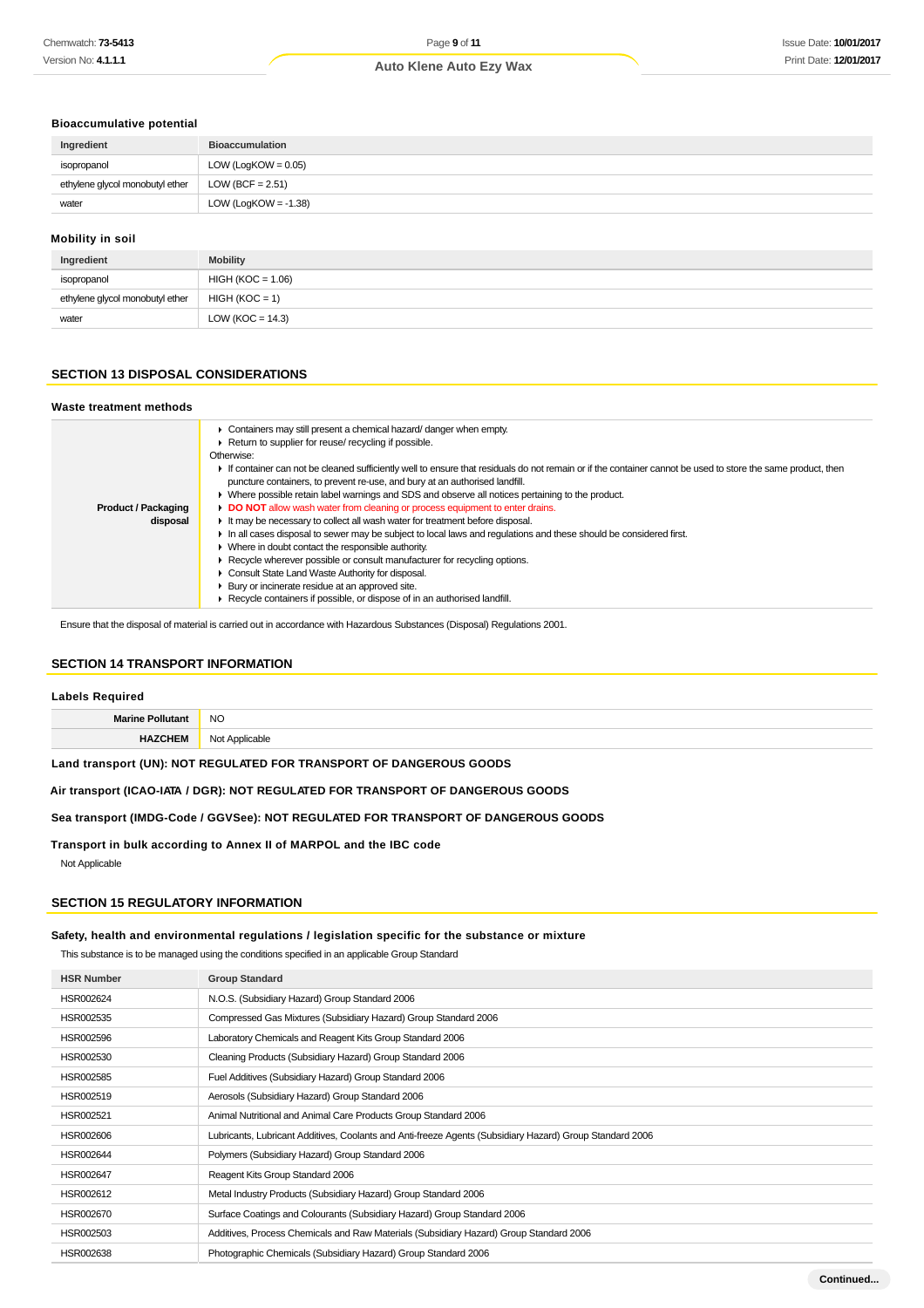## **Bioaccumulative potential**

| Ingredient                      | <b>Bioaccumulation</b> |
|---------------------------------|------------------------|
| isopropanol                     | $LOW (LogKOW = 0.05)$  |
| ethylene glycol monobutyl ether | LOW (BCF = $2.51$ )    |
| water                           | LOW (LogKOW = -1.38)   |
|                                 |                        |

#### **Mobility in soil**

| Ingredient                      | <b>Mobility</b>      |  |
|---------------------------------|----------------------|--|
| isopropanol                     | $HIGH (KOC = 1.06)$  |  |
| ethylene glycol monobutyl ether | $HIGH (KOC = 1)$     |  |
| water                           | LOW ( $KOC = 14.3$ ) |  |

### **SECTION 13 DISPOSAL CONSIDERATIONS**

| Waste treatment methods                |                                                                                                                                                                                                                                                                                                                                                                                                                                                                                                                                                                                                                                                                                                                                                                                                                                                                                                                                                                                                                                                                                                                   |
|----------------------------------------|-------------------------------------------------------------------------------------------------------------------------------------------------------------------------------------------------------------------------------------------------------------------------------------------------------------------------------------------------------------------------------------------------------------------------------------------------------------------------------------------------------------------------------------------------------------------------------------------------------------------------------------------------------------------------------------------------------------------------------------------------------------------------------------------------------------------------------------------------------------------------------------------------------------------------------------------------------------------------------------------------------------------------------------------------------------------------------------------------------------------|
| <b>Product / Packaging</b><br>disposal | Containers may still present a chemical hazard/ danger when empty.<br>▶ Return to supplier for reuse/ recycling if possible.<br>Otherwise:<br>If container can not be cleaned sufficiently well to ensure that residuals do not remain or if the container cannot be used to store the same product, then<br>puncture containers, to prevent re-use, and bury at an authorised landfill.<br>▶ Where possible retain label warnings and SDS and observe all notices pertaining to the product.<br>DO NOT allow wash water from cleaning or process equipment to enter drains.<br>If the may be necessary to collect all wash water for treatment before disposal.<br>In all cases disposal to sewer may be subject to local laws and regulations and these should be considered first.<br>• Where in doubt contact the responsible authority.<br>► Recycle wherever possible or consult manufacturer for recycling options.<br>Consult State Land Waste Authority for disposal.<br>• Bury or incinerate residue at an approved site.<br>▶ Recycle containers if possible, or dispose of in an authorised landfill. |

Ensure that the disposal of material is carried out in accordance with Hazardous Substances (Disposal) Regulations 2001.

### **SECTION 14 TRANSPORT INFORMATION**

#### **Labels Required**

| $\blacksquare$<br>- INC<br>__ |
|-------------------------------|
| ⊾ר<br>.                       |

**Land transport (UN): NOT REGULATED FOR TRANSPORT OF DANGEROUS GOODS**

**Air transport (ICAO-IATA / DGR): NOT REGULATED FOR TRANSPORT OF DANGEROUS GOODS**

**Sea transport (IMDG-Code / GGVSee): NOT REGULATED FOR TRANSPORT OF DANGEROUS GOODS**

**Transport in bulk according to Annex II of MARPOL and the IBC code** Not Applicable

#### **SECTION 15 REGULATORY INFORMATION**

### **Safety, health and environmental regulations / legislation specific for the substance or mixture**

This substance is to be managed using the conditions specified in an applicable Group Standard

| <b>HSR Number</b> | <b>Group Standard</b>                                                                                    |
|-------------------|----------------------------------------------------------------------------------------------------------|
| HSR002624         | N.O.S. (Subsidiary Hazard) Group Standard 2006                                                           |
| HSR002535         | Compressed Gas Mixtures (Subsidiary Hazard) Group Standard 2006                                          |
| HSR002596         | Laboratory Chemicals and Reagent Kits Group Standard 2006                                                |
| HSR002530         | Cleaning Products (Subsidiary Hazard) Group Standard 2006                                                |
| HSR002585         | Fuel Additives (Subsidiary Hazard) Group Standard 2006                                                   |
| HSR002519         | Aerosols (Subsidiary Hazard) Group Standard 2006                                                         |
| HSR002521         | Animal Nutritional and Animal Care Products Group Standard 2006                                          |
| HSR002606         | Lubricants, Lubricant Additives, Coolants and Anti-freeze Agents (Subsidiary Hazard) Group Standard 2006 |
| HSR002644         | Polymers (Subsidiary Hazard) Group Standard 2006                                                         |
| HSR002647         | Reagent Kits Group Standard 2006                                                                         |
| HSR002612         | Metal Industry Products (Subsidiary Hazard) Group Standard 2006                                          |
| HSR002670         | Surface Coatings and Colourants (Subsidiary Hazard) Group Standard 2006                                  |
| HSR002503         | Additives, Process Chemicals and Raw Materials (Subsidiary Hazard) Group Standard 2006                   |
| HSR002638         | Photographic Chemicals (Subsidiary Hazard) Group Standard 2006                                           |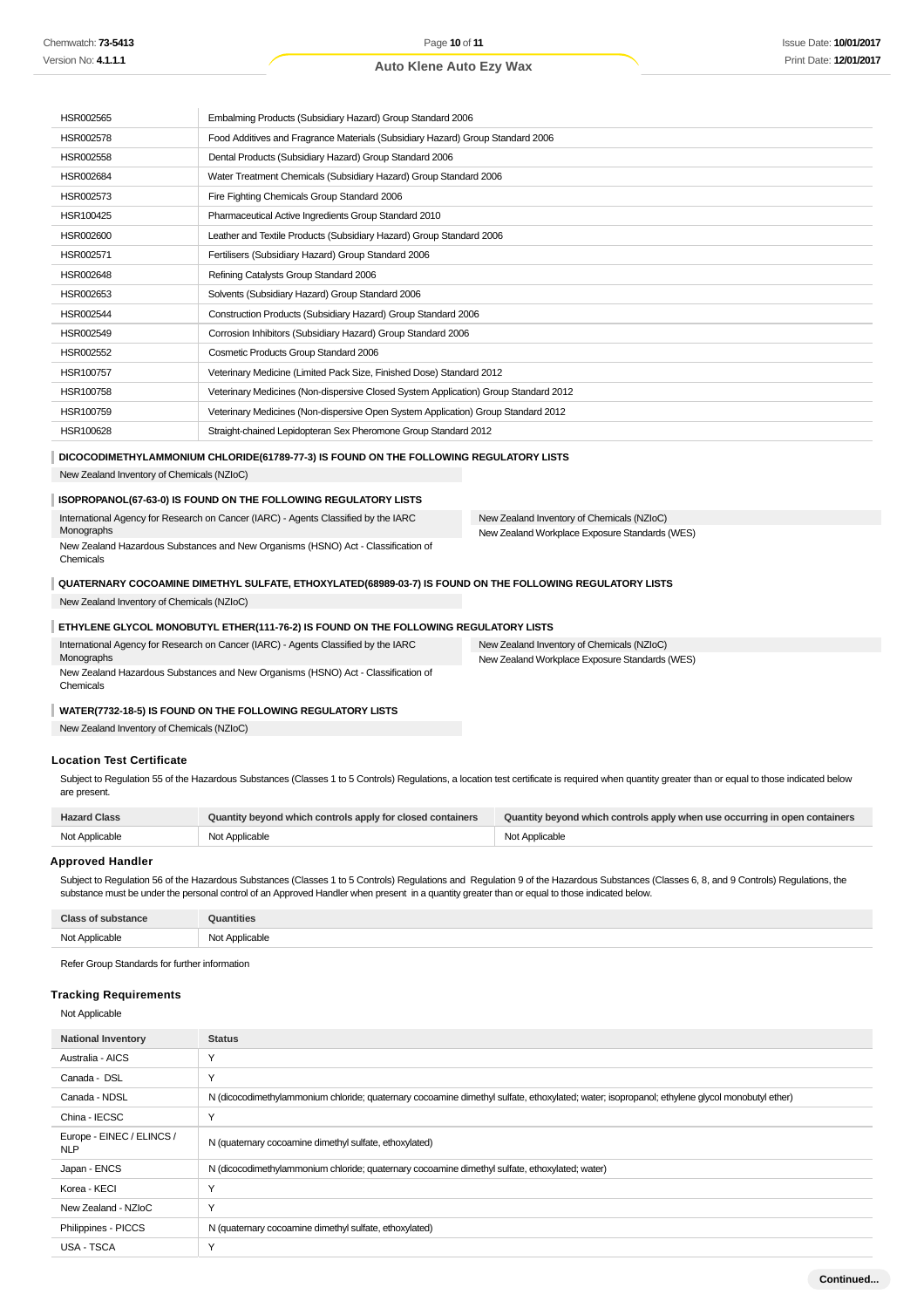| HSR002565 | Embalming Products (Subsidiary Hazard) Group Standard 2006                          |
|-----------|-------------------------------------------------------------------------------------|
| HSR002578 | Food Additives and Fragrance Materials (Subsidiary Hazard) Group Standard 2006      |
| HSR002558 | Dental Products (Subsidiary Hazard) Group Standard 2006                             |
| HSR002684 | Water Treatment Chemicals (Subsidiary Hazard) Group Standard 2006                   |
| HSR002573 | Fire Fighting Chemicals Group Standard 2006                                         |
| HSR100425 | Pharmaceutical Active Ingredients Group Standard 2010                               |
| HSR002600 | Leather and Textile Products (Subsidiary Hazard) Group Standard 2006                |
| HSR002571 | Fertilisers (Subsidiary Hazard) Group Standard 2006                                 |
| HSR002648 | Refining Catalysts Group Standard 2006                                              |
| HSR002653 | Solvents (Subsidiary Hazard) Group Standard 2006                                    |
| HSR002544 | Construction Products (Subsidiary Hazard) Group Standard 2006                       |
| HSR002549 | Corrosion Inhibitors (Subsidiary Hazard) Group Standard 2006                        |
| HSR002552 | Cosmetic Products Group Standard 2006                                               |
| HSR100757 | Veterinary Medicine (Limited Pack Size, Finished Dose) Standard 2012                |
| HSR100758 | Veterinary Medicines (Non-dispersive Closed System Application) Group Standard 2012 |
| HSR100759 | Veterinary Medicines (Non-dispersive Open System Application) Group Standard 2012   |
| HSR100628 | Straight-chained Lepidopteran Sex Pheromone Group Standard 2012                     |

#### **DICOCODIMETHYLAMMONIUM CHLORIDE(61789-77-3) IS FOUND ON THE FOLLOWING REGULATORY LISTS**

New Zealand Inventory of Chemicals (NZIoC)

### **ISOPROPANOL(67-63-0) IS FOUND ON THE FOLLOWING REGULATORY LISTS**

| International Agency for Research on Cancer (IARC) - Agents Classified by the IARC | New Zealand Inventory of Chemicals (NZIoC)     |
|------------------------------------------------------------------------------------|------------------------------------------------|
| Monographs                                                                         | New Zealand Workplace Exposure Standards (WES) |
| New Zealand Hazardous Substances and New Organisms (HSNO) Act - Classification of  |                                                |
| Chemicals                                                                          |                                                |

### **QUATERNARY COCOAMINE DIMETHYL SULFATE, ETHOXYLATED(68989-03-7) IS FOUND ON THE FOLLOWING REGULATORY LISTS**

New Zealand Inventory of Chemicals (NZIoC)

### **ETHYLENE GLYCOL MONOBUTYL ETHER(111-76-2) IS FOUND ON THE FOLLOWING REGULATORY LISTS**

| International Agency for Research on Cancer (IARC) - Agents Classified by the IARC | New Zealand Inventory of Chemicals (NZIoC)     |
|------------------------------------------------------------------------------------|------------------------------------------------|
| Monographs                                                                         | New Zealand Workplace Exposure Standards (WES) |
| New Zealand Hazardous Substances and New Organisms (HSNO) Act - Classification of  |                                                |
| Chemicals                                                                          |                                                |

#### **WATER(7732-18-5) IS FOUND ON THE FOLLOWING REGULATORY LISTS**

New Zealand Inventory of Chemicals (NZIoC)

### **Location Test Certificate**

Subject to Regulation 55 of the Hazardous Substances (Classes 1 to 5 Controls) Regulations, a location test certificate is required when quantity greater than or equal to those indicated below are present.

| <b>Hazard Class</b> | Quantity beyond which controls apply for closed containers | Quantity beyond which controls apply when use occurring in open containers |
|---------------------|------------------------------------------------------------|----------------------------------------------------------------------------|
| Not Applicable      | Not Applicable                                             | Not Applicable                                                             |

#### **Approved Handler**

Subject to Regulation 56 of the Hazardous Substances (Classes 1 to 5 Controls) Regulations and Regulation 9 of the Hazardous Substances (Classes 6, 8, and 9 Controls) Regulations, the substance must be under the personal control of an Approved Handler when present in a quantity greater than or equal to those indicated below.

| C <sub>here</sub><br>stance | <b>ntities</b>                                |
|-----------------------------|-----------------------------------------------|
| Not Applicable              | Applicable<br>NM<br>טעו<br>.<br>$\sim$ $\sim$ |

Refer Group Standards for further information

### **Tracking Requirements**

Not Applicable

| <b>National Inventory</b>               | <b>Status</b>                                                                                                                                |
|-----------------------------------------|----------------------------------------------------------------------------------------------------------------------------------------------|
| Australia - AICS                        | $\checkmark$                                                                                                                                 |
| Canada - DSL                            | Y                                                                                                                                            |
| Canada - NDSL                           | N (dicocodimethylammonium chloride; quaternary cocoamine dimethyl sulfate, ethoxylated; water; isopropanol; ethylene glycol monobutyl ether) |
| China - IECSC                           | $\checkmark$                                                                                                                                 |
| Europe - EINEC / ELINCS /<br><b>NLP</b> | N (quaternary cocoamine dimethyl sulfate, ethoxylated)                                                                                       |
| Japan - ENCS                            | N (dicocodimethylammonium chloride; quaternary cocoamine dimethyl sulfate, ethoxylated; water)                                               |
| Korea - KECI                            | $\checkmark$                                                                                                                                 |
| New Zealand - NZIoC                     | Y                                                                                                                                            |
| Philippines - PICCS                     | N (quaternary cocoamine dimethyl sulfate, ethoxylated)                                                                                       |
| USA - TSCA                              | $\checkmark$                                                                                                                                 |